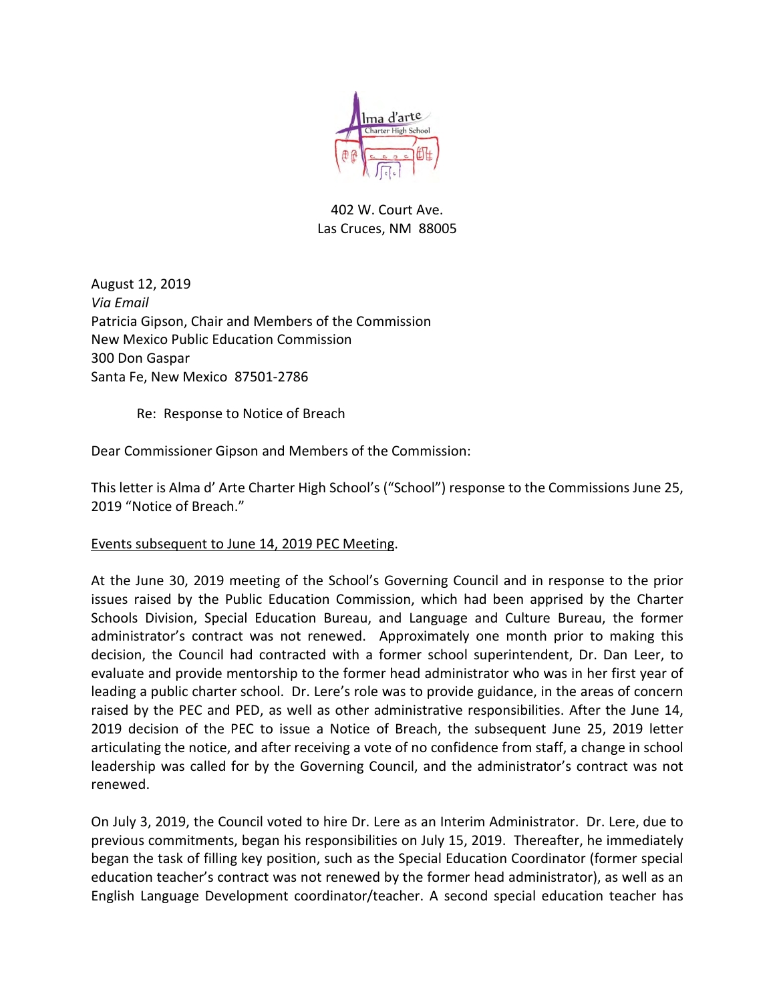

# 402 W. Court Ave. Las Cruces, NM 88005

August 12, 2019 *Via Email*  Patricia Gipson, Chair and Members of the Commission New Mexico Public Education Commission 300 Don Gaspar Santa Fe, New Mexico 87501-2786

Re: Response to Notice of Breach

Dear Commissioner Gipson and Members of the Commission:

This letter is Alma d' Arte Charter High School's ("School") response to the Commissions June 25, 2019 "Notice of Breach."

Events subsequent to June 14, 2019 PEC Meeting.

At the June 30, 2019 meeting of the School's Governing Council and in response to the prior issues raised by the Public Education Commission, which had been apprised by the Charter Schools Division, Special Education Bureau, and Language and Culture Bureau, the former administrator's contract was not renewed. Approximately one month prior to making this decision, the Council had contracted with a former school superintendent, Dr. Dan Leer, to evaluate and provide mentorship to the former head administrator who was in her first year of leading a public charter school. Dr. Lere's role was to provide guidance, in the areas of concern raised by the PEC and PED, as well as other administrative responsibilities. After the June 14, 2019 decision of the PEC to issue a Notice of Breach, the subsequent June 25, 2019 letter articulating the notice, and after receiving a vote of no confidence from staff, a change in school leadership was called for by the Governing Council, and the administrator's contract was not renewed.

On July 3, 2019, the Council voted to hire Dr. Lere as an Interim Administrator. Dr. Lere, due to previous commitments, began his responsibilities on July 15, 2019. Thereafter, he immediately began the task of filling key position, such as the Special Education Coordinator (former special education teacher's contract was not renewed by the former head administrator), as well as an English Language Development coordinator/teacher. A second special education teacher has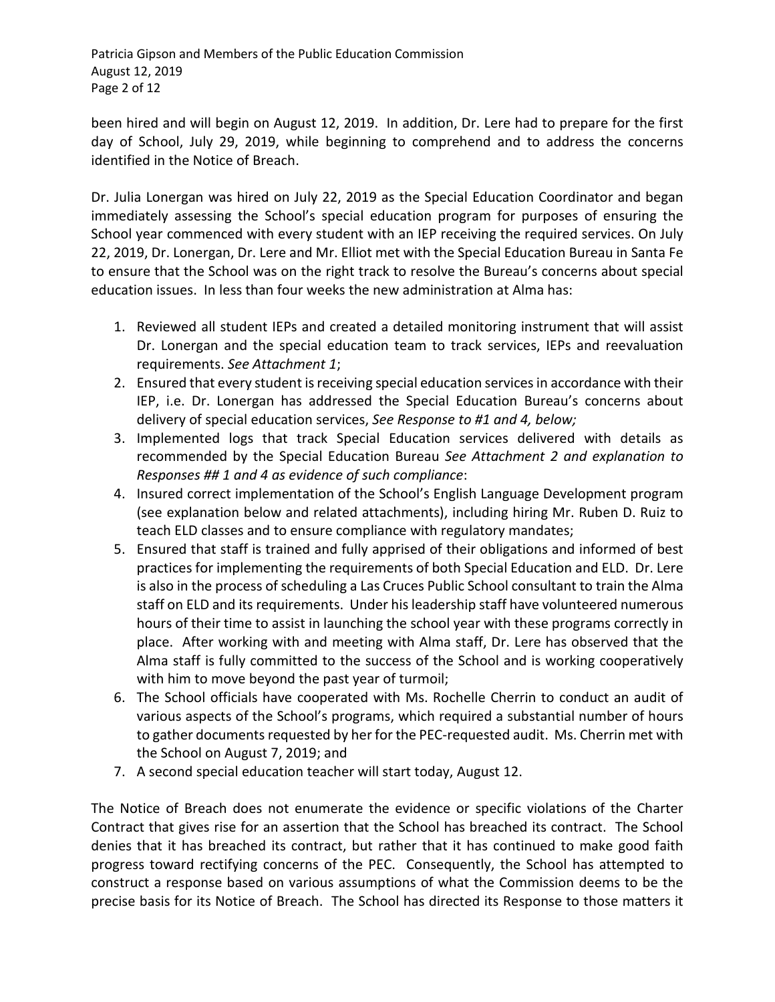Patricia Gipson and Members of the Public Education Commission August 12, 2019 Page 2 of 12

been hired and will begin on August 12, 2019. In addition, Dr. Lere had to prepare for the first day of School, July 29, 2019, while beginning to comprehend and to address the concerns identified in the Notice of Breach.

Dr. Julia Lonergan was hired on July 22, 2019 as the Special Education Coordinator and began immediately assessing the School's special education program for purposes of ensuring the School year commenced with every student with an IEP receiving the required services. On July 22, 2019, Dr. Lonergan, Dr. Lere and Mr. Elliot met with the Special Education Bureau in Santa Fe to ensure that the School was on the right track to resolve the Bureau's concerns about special education issues. In less than four weeks the new administration at Alma has:

- 1. Reviewed all student IEPs and created a detailed monitoring instrument that will assist Dr. Lonergan and the special education team to track services, IEPs and reevaluation requirements. *See Attachment 1*;
- 2. Ensured that every student is receiving special education services in accordance with their IEP, i.e. Dr. Lonergan has addressed the Special Education Bureau's concerns about delivery of special education services, *See Response to #1 and 4, below;*
- 3. Implemented logs that track Special Education services delivered with details as recommended by the Special Education Bureau *See Attachment 2 and explanation to Responses ## 1 and 4 as evidence of such compliance*:
- 4. Insured correct implementation of the School's English Language Development program (see explanation below and related attachments), including hiring Mr. Ruben D. Ruiz to teach ELD classes and to ensure compliance with regulatory mandates;
- 5. Ensured that staff is trained and fully apprised of their obligations and informed of best practices for implementing the requirements of both Special Education and ELD. Dr. Lere is also in the process of scheduling a Las Cruces Public School consultant to train the Alma staff on ELD and its requirements. Under his leadership staff have volunteered numerous hours of their time to assist in launching the school year with these programs correctly in place. After working with and meeting with Alma staff, Dr. Lere has observed that the Alma staff is fully committed to the success of the School and is working cooperatively with him to move beyond the past year of turmoil;
- 6. The School officials have cooperated with Ms. Rochelle Cherrin to conduct an audit of various aspects of the School's programs, which required a substantial number of hours to gather documents requested by her for the PEC-requested audit. Ms. Cherrin met with the School on August 7, 2019; and
- 7. A second special education teacher will start today, August 12.

The Notice of Breach does not enumerate the evidence or specific violations of the Charter Contract that gives rise for an assertion that the School has breached its contract. The School denies that it has breached its contract, but rather that it has continued to make good faith progress toward rectifying concerns of the PEC. Consequently, the School has attempted to construct a response based on various assumptions of what the Commission deems to be the precise basis for its Notice of Breach. The School has directed its Response to those matters it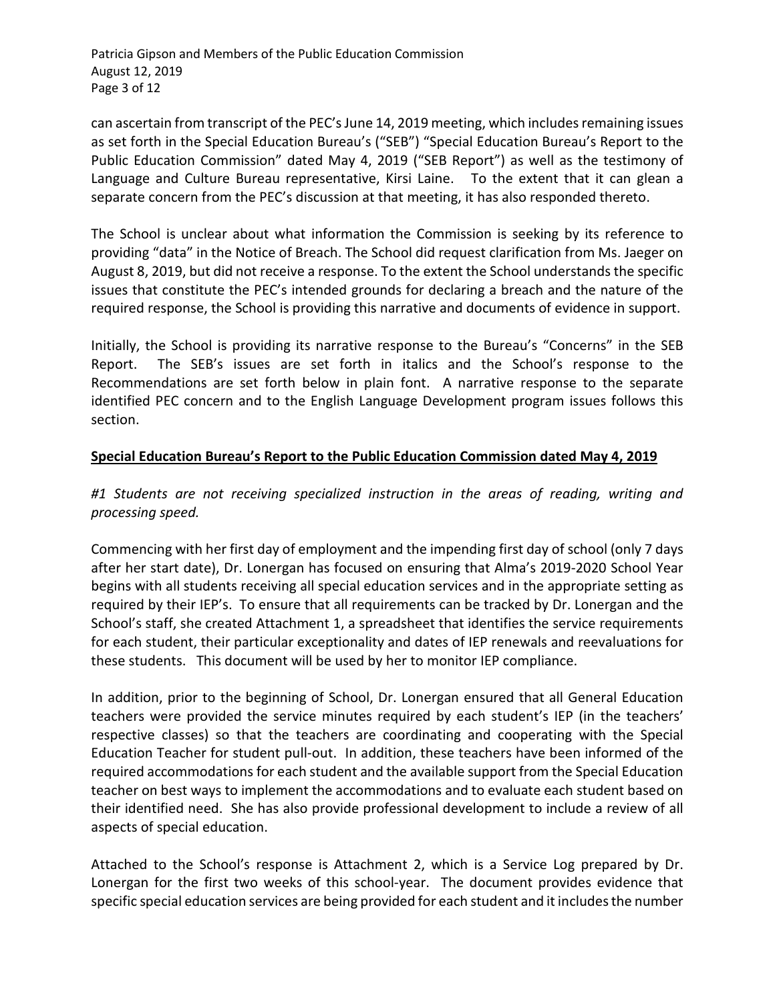Patricia Gipson and Members of the Public Education Commission August 12, 2019 Page 3 of 12

can ascertain from transcript of the PEC's June 14, 2019 meeting, which includes remaining issues as set forth in the Special Education Bureau's ("SEB") "Special Education Bureau's Report to the Public Education Commission" dated May 4, 2019 ("SEB Report") as well as the testimony of Language and Culture Bureau representative, Kirsi Laine. To the extent that it can glean a separate concern from the PEC's discussion at that meeting, it has also responded thereto.

The School is unclear about what information the Commission is seeking by its reference to providing "data" in the Notice of Breach. The School did request clarification from Ms. Jaeger on August 8, 2019, but did not receive a response. To the extent the School understands the specific issues that constitute the PEC's intended grounds for declaring a breach and the nature of the required response, the School is providing this narrative and documents of evidence in support.

Initially, the School is providing its narrative response to the Bureau's "Concerns" in the SEB Report. The SEB's issues are set forth in italics and the School's response to the Recommendations are set forth below in plain font. A narrative response to the separate identified PEC concern and to the English Language Development program issues follows this section.

# **Special Education Bureau's Report to the Public Education Commission dated May 4, 2019**

# *#1 Students are not receiving specialized instruction in the areas of reading, writing and processing speed.*

Commencing with her first day of employment and the impending first day of school (only 7 days after her start date), Dr. Lonergan has focused on ensuring that Alma's 2019-2020 School Year begins with all students receiving all special education services and in the appropriate setting as required by their IEP's. To ensure that all requirements can be tracked by Dr. Lonergan and the School's staff, she created Attachment 1, a spreadsheet that identifies the service requirements for each student, their particular exceptionality and dates of IEP renewals and reevaluations for these students. This document will be used by her to monitor IEP compliance.

In addition, prior to the beginning of School, Dr. Lonergan ensured that all General Education teachers were provided the service minutes required by each student's IEP (in the teachers' respective classes) so that the teachers are coordinating and cooperating with the Special Education Teacher for student pull-out. In addition, these teachers have been informed of the required accommodations for each student and the available support from the Special Education teacher on best ways to implement the accommodations and to evaluate each student based on their identified need. She has also provide professional development to include a review of all aspects of special education.

Attached to the School's response is Attachment 2, which is a Service Log prepared by Dr. Lonergan for the first two weeks of this school-year. The document provides evidence that specific special education services are being provided for each student and it includes the number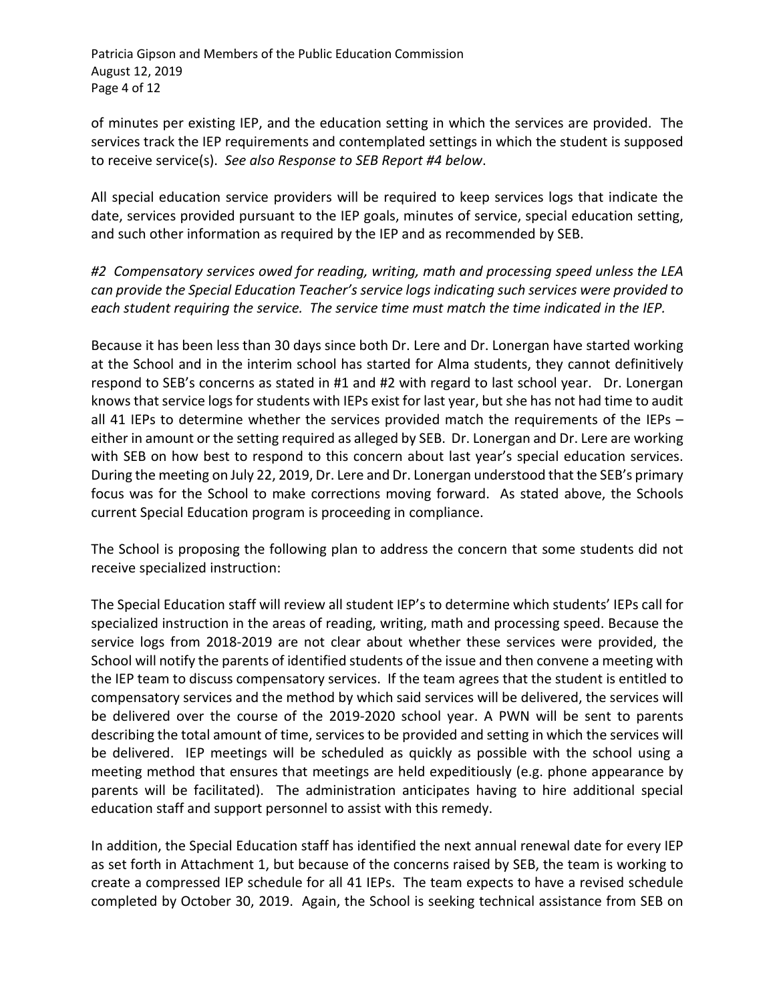Patricia Gipson and Members of the Public Education Commission August 12, 2019 Page 4 of 12

of minutes per existing IEP, and the education setting in which the services are provided. The services track the IEP requirements and contemplated settings in which the student is supposed to receive service(s). *See also Response to SEB Report #4 below*.

All special education service providers will be required to keep services logs that indicate the date, services provided pursuant to the IEP goals, minutes of service, special education setting, and such other information as required by the IEP and as recommended by SEB.

*#2 Compensatory services owed for reading, writing, math and processing speed unless the LEA can provide the Special Education Teacher's service logs indicating such services were provided to each student requiring the service. The service time must match the time indicated in the IEP.*

Because it has been less than 30 days since both Dr. Lere and Dr. Lonergan have started working at the School and in the interim school has started for Alma students, they cannot definitively respond to SEB's concerns as stated in #1 and #2 with regard to last school year. Dr. Lonergan knows that service logs for students with IEPs exist for last year, but she has not had time to audit all 41 IEPs to determine whether the services provided match the requirements of the IEPs – either in amount or the setting required as alleged by SEB. Dr. Lonergan and Dr. Lere are working with SEB on how best to respond to this concern about last year's special education services. During the meeting on July 22, 2019, Dr. Lere and Dr. Lonergan understood that the SEB's primary focus was for the School to make corrections moving forward. As stated above, the Schools current Special Education program is proceeding in compliance.

The School is proposing the following plan to address the concern that some students did not receive specialized instruction:

The Special Education staff will review all student IEP's to determine which students' IEPs call for specialized instruction in the areas of reading, writing, math and processing speed. Because the service logs from 2018-2019 are not clear about whether these services were provided, the School will notify the parents of identified students of the issue and then convene a meeting with the IEP team to discuss compensatory services. If the team agrees that the student is entitled to compensatory services and the method by which said services will be delivered, the services will be delivered over the course of the 2019-2020 school year. A PWN will be sent to parents describing the total amount of time, services to be provided and setting in which the services will be delivered. IEP meetings will be scheduled as quickly as possible with the school using a meeting method that ensures that meetings are held expeditiously (e.g. phone appearance by parents will be facilitated). The administration anticipates having to hire additional special education staff and support personnel to assist with this remedy.

In addition, the Special Education staff has identified the next annual renewal date for every IEP as set forth in Attachment 1, but because of the concerns raised by SEB, the team is working to create a compressed IEP schedule for all 41 IEPs. The team expects to have a revised schedule completed by October 30, 2019. Again, the School is seeking technical assistance from SEB on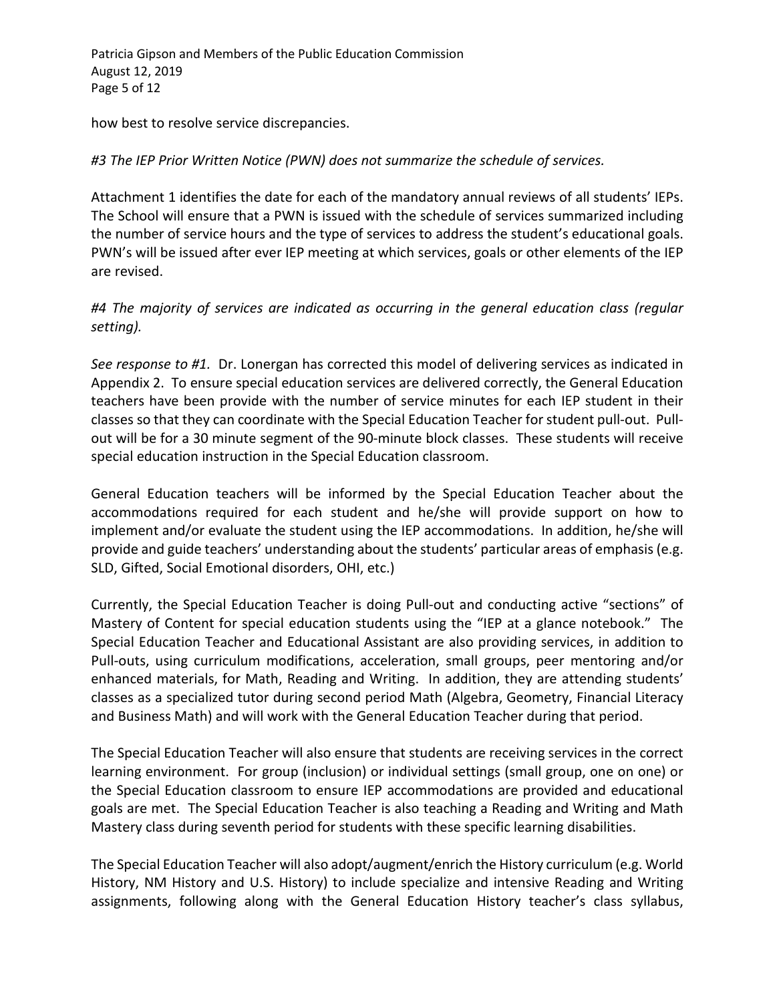Patricia Gipson and Members of the Public Education Commission August 12, 2019 Page 5 of 12

how best to resolve service discrepancies.

## *#3 The IEP Prior Written Notice (PWN) does not summarize the schedule of services.*

Attachment 1 identifies the date for each of the mandatory annual reviews of all students' IEPs. The School will ensure that a PWN is issued with the schedule of services summarized including the number of service hours and the type of services to address the student's educational goals. PWN's will be issued after ever IEP meeting at which services, goals or other elements of the IEP are revised.

# *#4 The majority of services are indicated as occurring in the general education class (regular setting).*

*See response to #1.* Dr. Lonergan has corrected this model of delivering services as indicated in Appendix 2. To ensure special education services are delivered correctly, the General Education teachers have been provide with the number of service minutes for each IEP student in their classes so that they can coordinate with the Special Education Teacher for student pull-out. Pullout will be for a 30 minute segment of the 90-minute block classes. These students will receive special education instruction in the Special Education classroom.

General Education teachers will be informed by the Special Education Teacher about the accommodations required for each student and he/she will provide support on how to implement and/or evaluate the student using the IEP accommodations. In addition, he/she will provide and guide teachers' understanding about the students' particular areas of emphasis (e.g. SLD, Gifted, Social Emotional disorders, OHI, etc.)

Currently, the Special Education Teacher is doing Pull-out and conducting active "sections" of Mastery of Content for special education students using the "IEP at a glance notebook." The Special Education Teacher and Educational Assistant are also providing services, in addition to Pull-outs, using curriculum modifications, acceleration, small groups, peer mentoring and/or enhanced materials, for Math, Reading and Writing. In addition, they are attending students' classes as a specialized tutor during second period Math (Algebra, Geometry, Financial Literacy and Business Math) and will work with the General Education Teacher during that period.

The Special Education Teacher will also ensure that students are receiving services in the correct learning environment. For group (inclusion) or individual settings (small group, one on one) or the Special Education classroom to ensure IEP accommodations are provided and educational goals are met. The Special Education Teacher is also teaching a Reading and Writing and Math Mastery class during seventh period for students with these specific learning disabilities.

The Special Education Teacher will also adopt/augment/enrich the History curriculum (e.g. World History, NM History and U.S. History) to include specialize and intensive Reading and Writing assignments, following along with the General Education History teacher's class syllabus,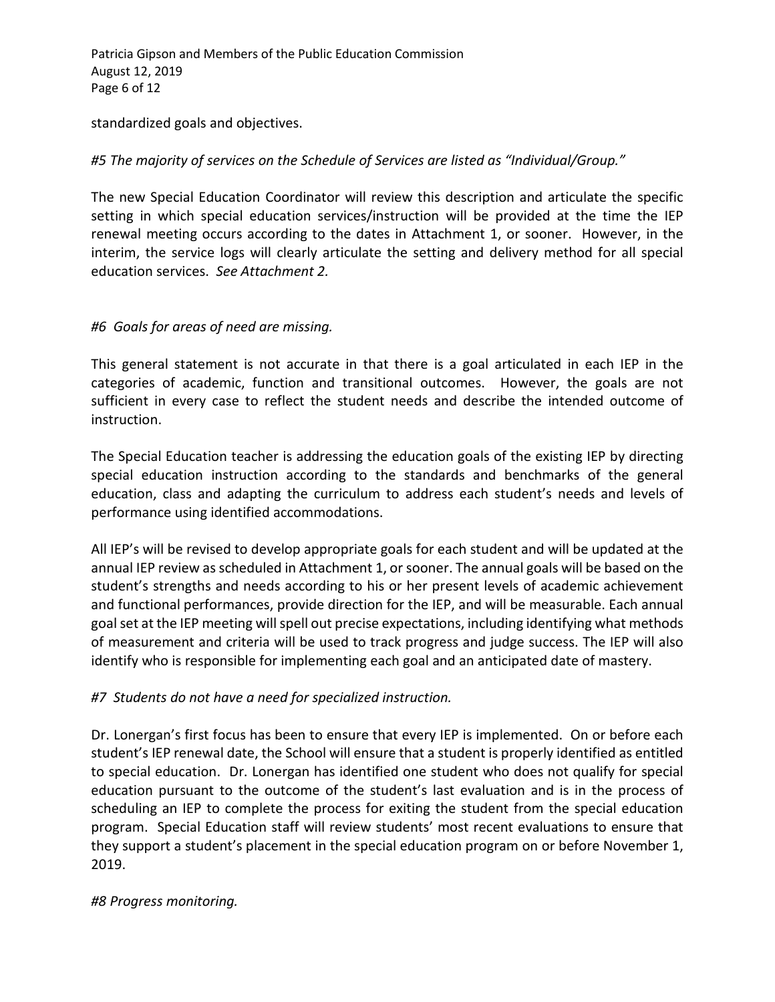Patricia Gipson and Members of the Public Education Commission August 12, 2019 Page 6 of 12

standardized goals and objectives.

# *#5 The majority of services on the Schedule of Services are listed as "Individual/Group."*

The new Special Education Coordinator will review this description and articulate the specific setting in which special education services/instruction will be provided at the time the IEP renewal meeting occurs according to the dates in Attachment 1, or sooner. However, in the interim, the service logs will clearly articulate the setting and delivery method for all special education services. *See Attachment 2.*

# *#6 Goals for areas of need are missing.*

This general statement is not accurate in that there is a goal articulated in each IEP in the categories of academic, function and transitional outcomes. However, the goals are not sufficient in every case to reflect the student needs and describe the intended outcome of instruction.

The Special Education teacher is addressing the education goals of the existing IEP by directing special education instruction according to the standards and benchmarks of the general education, class and adapting the curriculum to address each student's needs and levels of performance using identified accommodations.

All IEP's will be revised to develop appropriate goals for each student and will be updated at the annual IEP review as scheduled in Attachment 1, or sooner. The annual goals will be based on the student's strengths and needs according to his or her present levels of academic achievement and functional performances, provide direction for the IEP, and will be measurable. Each annual goal set at the IEP meeting will spell out precise expectations, including identifying what methods of measurement and criteria will be used to track progress and judge success. The IEP will also identify who is responsible for implementing each goal and an anticipated date of mastery.

# *#7 Students do not have a need for specialized instruction.*

Dr. Lonergan's first focus has been to ensure that every IEP is implemented. On or before each student's IEP renewal date, the School will ensure that a student is properly identified as entitled to special education. Dr. Lonergan has identified one student who does not qualify for special education pursuant to the outcome of the student's last evaluation and is in the process of scheduling an IEP to complete the process for exiting the student from the special education program. Special Education staff will review students' most recent evaluations to ensure that they support a student's placement in the special education program on or before November 1, 2019.

# *#8 Progress monitoring.*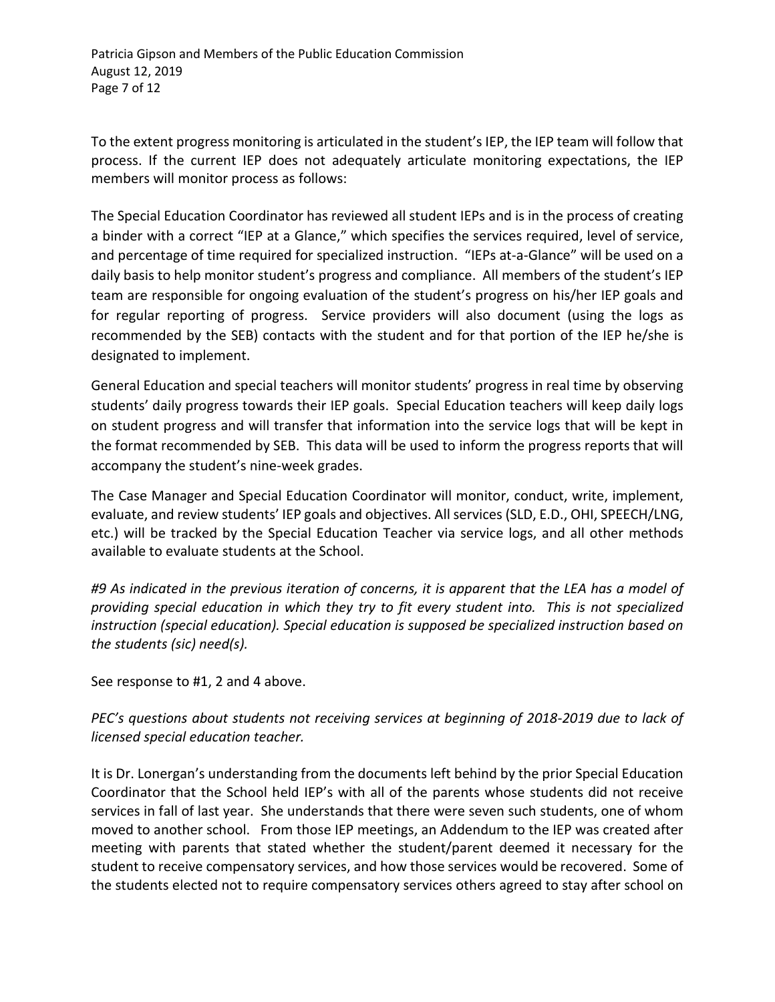To the extent progress monitoring is articulated in the student's IEP, the IEP team will follow that process. If the current IEP does not adequately articulate monitoring expectations, the IEP members will monitor process as follows:

The Special Education Coordinator has reviewed all student IEPs and is in the process of creating a binder with a correct "IEP at a Glance," which specifies the services required, level of service, and percentage of time required for specialized instruction. "IEPs at-a-Glance" will be used on a daily basis to help monitor student's progress and compliance. All members of the student's IEP team are responsible for ongoing evaluation of the student's progress on his/her IEP goals and for regular reporting of progress. Service providers will also document (using the logs as recommended by the SEB) contacts with the student and for that portion of the IEP he/she is designated to implement.

General Education and special teachers will monitor students' progress in real time by observing students' daily progress towards their IEP goals. Special Education teachers will keep daily logs on student progress and will transfer that information into the service logs that will be kept in the format recommended by SEB. This data will be used to inform the progress reports that will accompany the student's nine-week grades.

The Case Manager and Special Education Coordinator will monitor, conduct, write, implement, evaluate, and review students' IEP goals and objectives. All services (SLD, E.D., OHI, SPEECH/LNG, etc.) will be tracked by the Special Education Teacher via service logs, and all other methods available to evaluate students at the School.

*#9 As indicated in the previous iteration of concerns, it is apparent that the LEA has a model of providing special education in which they try to fit every student into. This is not specialized instruction (special education). Special education is supposed be specialized instruction based on the students (sic) need(s).* 

See response to #1, 2 and 4 above.

# *PEC's questions about students not receiving services at beginning of 2018-2019 due to lack of licensed special education teacher.*

It is Dr. Lonergan's understanding from the documents left behind by the prior Special Education Coordinator that the School held IEP's with all of the parents whose students did not receive services in fall of last year. She understands that there were seven such students, one of whom moved to another school. From those IEP meetings, an Addendum to the IEP was created after meeting with parents that stated whether the student/parent deemed it necessary for the student to receive compensatory services, and how those services would be recovered. Some of the students elected not to require compensatory services others agreed to stay after school on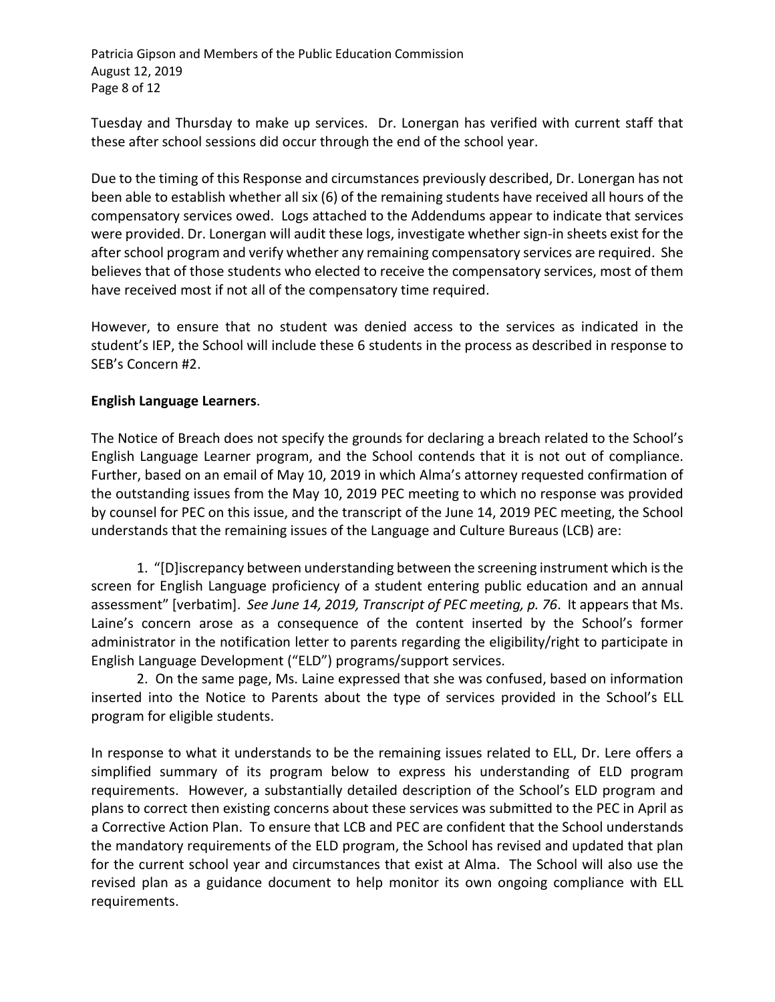Patricia Gipson and Members of the Public Education Commission August 12, 2019 Page 8 of 12

Tuesday and Thursday to make up services. Dr. Lonergan has verified with current staff that these after school sessions did occur through the end of the school year.

Due to the timing of this Response and circumstances previously described, Dr. Lonergan has not been able to establish whether all six (6) of the remaining students have received all hours of the compensatory services owed. Logs attached to the Addendums appear to indicate that services were provided. Dr. Lonergan will audit these logs, investigate whether sign-in sheets exist for the after school program and verify whether any remaining compensatory services are required. She believes that of those students who elected to receive the compensatory services, most of them have received most if not all of the compensatory time required.

However, to ensure that no student was denied access to the services as indicated in the student's IEP, the School will include these 6 students in the process as described in response to SEB's Concern #2.

## **English Language Learners**.

The Notice of Breach does not specify the grounds for declaring a breach related to the School's English Language Learner program, and the School contends that it is not out of compliance. Further, based on an email of May 10, 2019 in which Alma's attorney requested confirmation of the outstanding issues from the May 10, 2019 PEC meeting to which no response was provided by counsel for PEC on this issue, and the transcript of the June 14, 2019 PEC meeting, the School understands that the remaining issues of the Language and Culture Bureaus (LCB) are:

1. "[D]iscrepancy between understanding between the screening instrument which is the screen for English Language proficiency of a student entering public education and an annual assessment" [verbatim]. *See June 14, 2019, Transcript of PEC meeting, p. 76*. It appears that Ms. Laine's concern arose as a consequence of the content inserted by the School's former administrator in the notification letter to parents regarding the eligibility/right to participate in English Language Development ("ELD") programs/support services.

2. On the same page, Ms. Laine expressed that she was confused, based on information inserted into the Notice to Parents about the type of services provided in the School's ELL program for eligible students.

In response to what it understands to be the remaining issues related to ELL, Dr. Lere offers a simplified summary of its program below to express his understanding of ELD program requirements. However, a substantially detailed description of the School's ELD program and plans to correct then existing concerns about these services was submitted to the PEC in April as a Corrective Action Plan. To ensure that LCB and PEC are confident that the School understands the mandatory requirements of the ELD program, the School has revised and updated that plan for the current school year and circumstances that exist at Alma. The School will also use the revised plan as a guidance document to help monitor its own ongoing compliance with ELL requirements.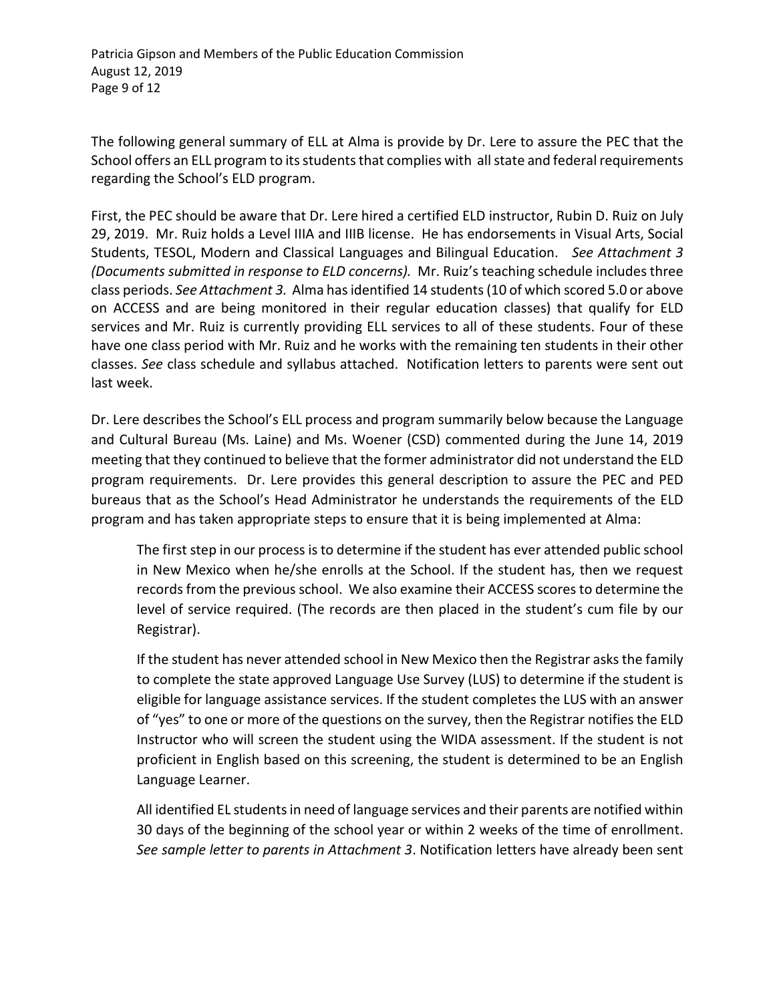The following general summary of ELL at Alma is provide by Dr. Lere to assure the PEC that the School offers an ELL program to its students that complies with all state and federal requirements regarding the School's ELD program.

First, the PEC should be aware that Dr. Lere hired a certified ELD instructor, Rubin D. Ruiz on July 29, 2019. Mr. Ruiz holds a Level IIIA and IIIB license. He has endorsements in Visual Arts, Social Students, TESOL, Modern and Classical Languages and Bilingual Education. *See Attachment 3 (Documents submitted in response to ELD concerns).* Mr. Ruiz's teaching schedule includes three class periods. *See Attachment 3.* Alma has identified 14 students (10 of which scored 5.0 or above on ACCESS and are being monitored in their regular education classes) that qualify for ELD services and Mr. Ruiz is currently providing ELL services to all of these students. Four of these have one class period with Mr. Ruiz and he works with the remaining ten students in their other classes. *See* class schedule and syllabus attached. Notification letters to parents were sent out last week.

Dr. Lere describes the School's ELL process and program summarily below because the Language and Cultural Bureau (Ms. Laine) and Ms. Woener (CSD) commented during the June 14, 2019 meeting that they continued to believe that the former administrator did not understand the ELD program requirements. Dr. Lere provides this general description to assure the PEC and PED bureaus that as the School's Head Administrator he understands the requirements of the ELD program and has taken appropriate steps to ensure that it is being implemented at Alma:

The first step in our process is to determine if the student has ever attended public school in New Mexico when he/she enrolls at the School. If the student has, then we request records from the previous school. We also examine their ACCESS scores to determine the level of service required. (The records are then placed in the student's cum file by our Registrar).

If the student has never attended school in New Mexico then the Registrar asks the family to complete the state approved Language Use Survey (LUS) to determine if the student is eligible for language assistance services. If the student completes the LUS with an answer of "yes" to one or more of the questions on the survey, then the Registrar notifies the ELD Instructor who will screen the student using the WIDA assessment. If the student is not proficient in English based on this screening, the student is determined to be an English Language Learner.

All identified EL students in need of language services and their parents are notified within 30 days of the beginning of the school year or within 2 weeks of the time of enrollment. *See sample letter to parents in Attachment 3*. Notification letters have already been sent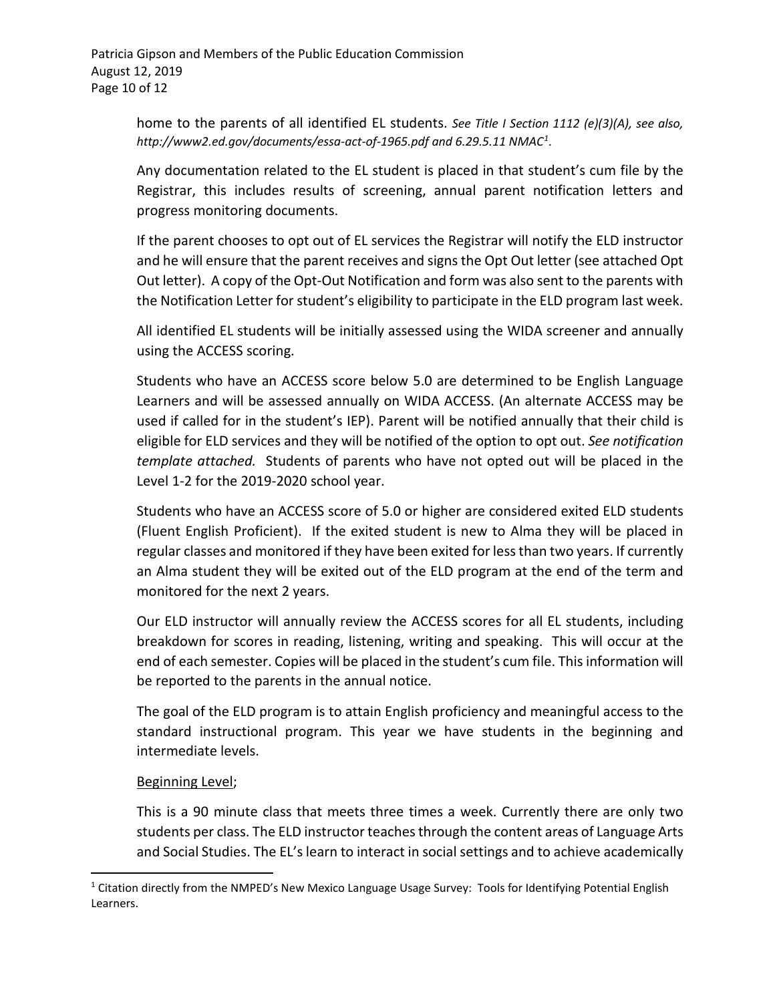home to the parents of all identified EL students. *See Title I Section 1112 (e)(3)(A), see also, http://www2.ed.gov/documents/essa-act-of-1965.pdf and 6.29.5.11 NMAC[1](#page-9-0)*.

Any documentation related to the EL student is placed in that student's cum file by the Registrar, this includes results of screening, annual parent notification letters and progress monitoring documents.

If the parent chooses to opt out of EL services the Registrar will notify the ELD instructor and he will ensure that the parent receives and signs the Opt Out letter (see attached Opt Out letter). A copy of the Opt-Out Notification and form was also sent to the parents with the Notification Letter for student's eligibility to participate in the ELD program last week.

All identified EL students will be initially assessed using the WIDA screener and annually using the ACCESS scoring.

Students who have an ACCESS score below 5.0 are determined to be English Language Learners and will be assessed annually on WIDA ACCESS. (An alternate ACCESS may be used if called for in the student's IEP). Parent will be notified annually that their child is eligible for ELD services and they will be notified of the option to opt out. *See notification template attached.* Students of parents who have not opted out will be placed in the Level 1-2 for the 2019-2020 school year.

Students who have an ACCESS score of 5.0 or higher are considered exited ELD students (Fluent English Proficient). If the exited student is new to Alma they will be placed in regular classes and monitored if they have been exited for less than two years. If currently an Alma student they will be exited out of the ELD program at the end of the term and monitored for the next 2 years.

Our ELD instructor will annually review the ACCESS scores for all EL students, including breakdown for scores in reading, listening, writing and speaking. This will occur at the end of each semester. Copies will be placed in the student's cum file. This information will be reported to the parents in the annual notice.

The goal of the ELD program is to attain English proficiency and meaningful access to the standard instructional program. This year we have students in the beginning and intermediate levels.

# Beginning Level;

 $\overline{\phantom{a}}$ 

This is a 90 minute class that meets three times a week. Currently there are only two students per class. The ELD instructor teaches through the content areas of Language Arts and Social Studies. The EL's learn to interact in social settings and to achieve academically

<span id="page-9-0"></span><sup>&</sup>lt;sup>1</sup> Citation directly from the NMPED's New Mexico Language Usage Survey: Tools for Identifying Potential English Learners.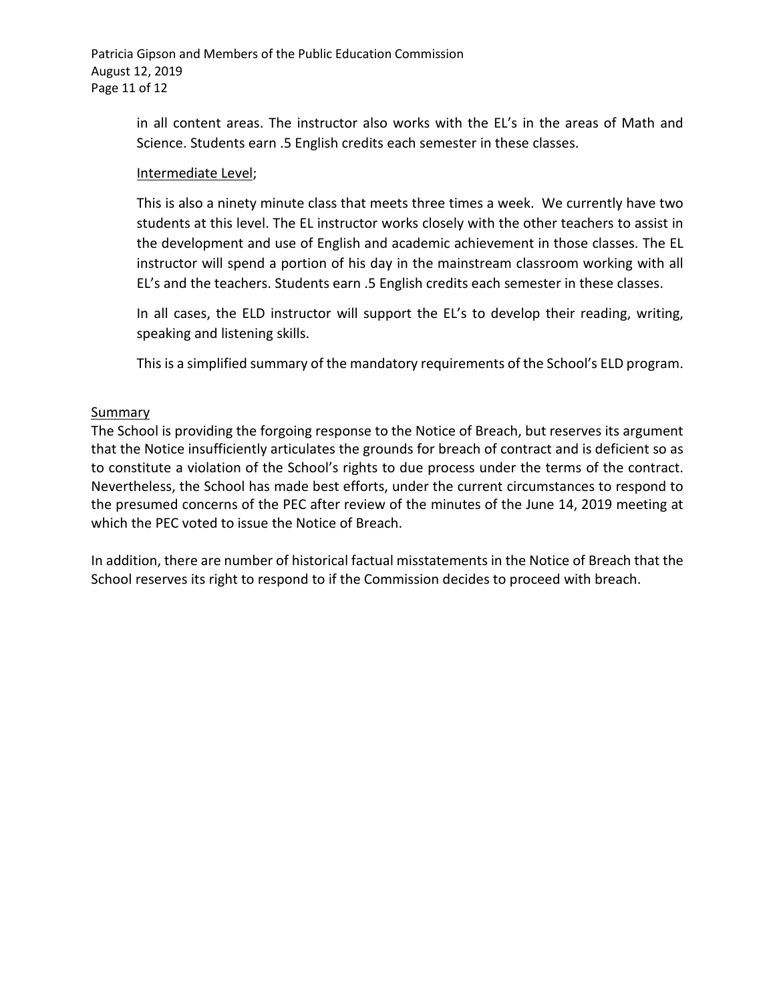Patricia Gipson and Members of the Public Education Commission August 12, 2019 Page 11 of 12

> in all content areas. The instructor also works with the EL's in the areas of Math and Science. Students earn .5 English credits each semester in these classes.

#### Intermediate Level;

This is also a ninety minute class that meets three times a week. We currently have two students at this level. The EL instructor works closely with the other teachers to assist in the development and use of English and academic achievement in those classes. The EL instructor will spend a portion of his day in the mainstream classroom working with all EL's and the teachers. Students earn .5 English credits each semester in these classes.

In all cases, the ELD instructor will support the EL's to develop their reading, writing, speaking and listening skills.

This is a simplified summary of the mandatory requirements of the School's ELD program.

## Summary

The School is providing the forgoing response to the Notice of Breach, but reserves its argument that the Notice insufficiently articulates the grounds for breach of contract and is deficient so as to constitute a violation of the School's rights to due process under the terms of the contract. Nevertheless, the School has made best efforts, under the current circumstances to respond to the presumed concerns of the PEC after review of the minutes of the June 14, 2019 meeting at which the PEC voted to issue the Notice of Breach.

In addition, there are number of historical factual misstatements in the Notice of Breach that the School reserves its right to respond to if the Commission decides to proceed with breach.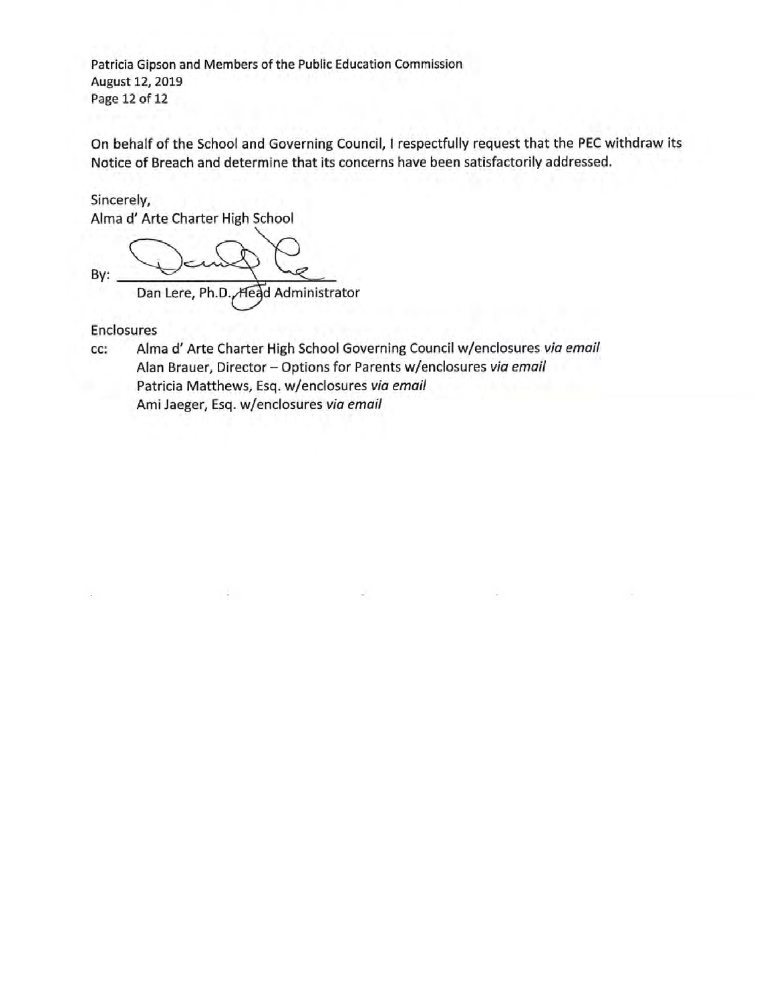Patricia Gipson and Members of the Public Education Commission August 12, 2019 Page 12 of 12

On behalf of the School and Governing Council, I respectfully request that the PEC withdraw its Notice of Breach and determine that its concerns have been satisfactorily addressed.

## Sincerely, Alma d' Arte Charter High School

By: Dan Lere, Ph.D., Head Administrator

**Enclosures** 

Alma d' Arte Charter High School Governing Council w/enclosures via email cc: Alan Brauer, Director - Options for Parents w/enclosures via email Patricia Matthews, Esq. w/enclosures via email Ami Jaeger, Esq. w/enclosures via email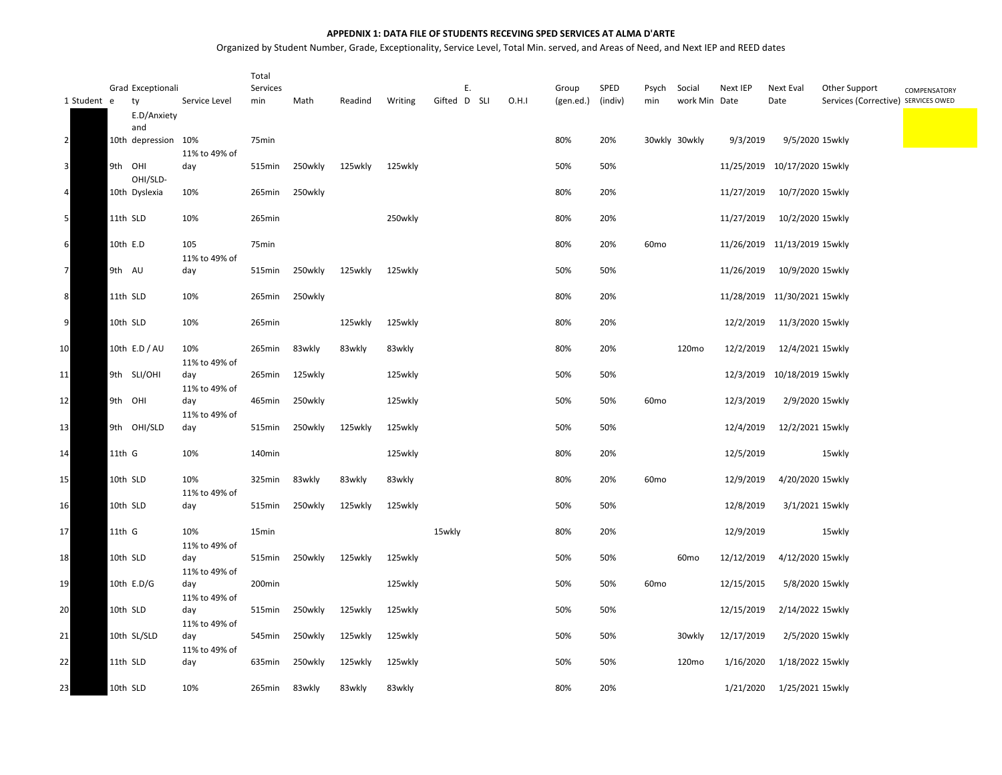#### **APPEDNIX 1: DATA FILE OF STUDENTS RECEVING SPED SERVICES AT ALMA D'ARTE**

Organized by Student Number, Grade, Exceptionality, Service Level, Total Min. served, and Areas of Need, and Next IEP and REED dates

|                |        | Grad Exceptionali   |                      | Total<br>Services |         |         |         | Ε.           |       | Group     | SPED    | Psych            | Social            | Next IEP   | Next Eval                    | Other Support                       | COMPENSATORY |
|----------------|--------|---------------------|----------------------|-------------------|---------|---------|---------|--------------|-------|-----------|---------|------------------|-------------------|------------|------------------------------|-------------------------------------|--------------|
| 1 Student e    |        | ty                  | Service Level        | min               | Math    | Readind | Writing | Gifted D SLI | O.H.I | (gen.ed.) | (indiv) | min              | work Min Date     |            | Date                         | Services (Corrective) SERVICES OWED |              |
|                |        | E.D/Anxiety<br>and  |                      |                   |         |         |         |              |       |           |         |                  |                   |            |                              |                                     |              |
| $\overline{2}$ |        | 10th depression 10% | 11% to 49% of        | 75min             |         |         |         |              |       | 80%       | 20%     |                  | 30wkly 30wkly     | 9/3/2019   |                              | 9/5/2020 15wkly                     |              |
| 3              |        | 9th OHI<br>OHI/SLD- | day                  | 515min            | 250wkly | 125wkly | 125wkly |              |       | 50%       | 50%     |                  |                   |            | 11/25/2019 10/17/2020 15wkly |                                     |              |
|                |        | 10th Dyslexia       | 10%                  | 265min            | 250wkly |         |         |              |       | 80%       | 20%     |                  |                   | 11/27/2019 | 10/7/2020 15wkly             |                                     |              |
| 5              |        | 11th SLD            | 10%                  | 265min            |         |         | 250wkly |              |       | 80%       | 20%     |                  |                   | 11/27/2019 | 10/2/2020 15wkly             |                                     |              |
| 6              |        | 10th E.D            | 105<br>11% to 49% of | 75min             |         |         |         |              |       | 80%       | 20%     | 60 <sub>mo</sub> |                   |            | 11/26/2019 11/13/2019 15wkly |                                     |              |
| $\overline{7}$ |        | 9th AU              | day                  | 515min            | 250wkly | 125wkly | 125wkly |              |       | 50%       | 50%     |                  |                   | 11/26/2019 | 10/9/2020 15wkly             |                                     |              |
| 8              |        | 11th SLD            | 10%                  | 265min            | 250wkly |         |         |              |       | 80%       | 20%     |                  |                   |            | 11/28/2019 11/30/2021 15wkly |                                     |              |
| 9              |        | 10th SLD            | 10%                  | 265min            |         | 125wkly | 125wkly |              |       | 80%       | 20%     |                  |                   | 12/2/2019  | 11/3/2020 15wkly             |                                     |              |
| 10             |        | 10th E.D / AU       | 10%                  | 265min            | 83wkly  | 83wkly  | 83wkly  |              |       | 80%       | 20%     |                  | 120mo             | 12/2/2019  | 12/4/2021 15wkly             |                                     |              |
| 11             |        | 9th SLI/OHI         | 11% to 49% of<br>day | 265min            | 125wkly |         | 125wkly |              |       | 50%       | 50%     |                  |                   |            | 12/3/2019 10/18/2019 15wkly  |                                     |              |
| 12             |        | 9th OHI             | 11% to 49% of<br>day | 465min            | 250wkly |         | 125wkly |              |       | 50%       | 50%     | 60 <sub>mo</sub> |                   | 12/3/2019  |                              | 2/9/2020 15wkly                     |              |
| 13             |        | 9th OHI/SLD         | 11% to 49% of<br>day | 515min            | 250wkly | 125wkly | 125wkly |              |       | 50%       | 50%     |                  |                   | 12/4/2019  | 12/2/2021 15wkly             |                                     |              |
| 14             | 11th G |                     | 10%                  | 140min            |         |         | 125wkly |              |       | 80%       | 20%     |                  |                   | 12/5/2019  |                              | 15wkly                              |              |
| 15             |        | 10th SLD            | 10%                  | 325min            | 83wkly  | 83wkly  | 83wkly  |              |       | 80%       | 20%     | 60 <sub>mo</sub> |                   | 12/9/2019  | 4/20/2020 15wkly             |                                     |              |
| 16             |        | 10th SLD            | 11% to 49% of<br>day | 515min            | 250wkly | 125wkly | 125wkly |              |       | 50%       | 50%     |                  |                   | 12/8/2019  |                              | 3/1/2021 15wkly                     |              |
| 17             | 11th G |                     | 10%                  | 15min             |         |         |         | 15wkly       |       | 80%       | 20%     |                  |                   | 12/9/2019  |                              | 15wkly                              |              |
| 18             |        | 10th SLD            | 11% to 49% of<br>day | 515min            | 250wkly | 125wkly | 125wkly |              |       | 50%       | 50%     |                  | 60 <sub>mo</sub>  | 12/12/2019 | 4/12/2020 15wkly             |                                     |              |
| 19             |        | 10th E.D/G          | 11% to 49% of<br>day | 200min            |         |         | 125wkly |              |       | 50%       | 50%     | 60 <sub>mo</sub> |                   | 12/15/2015 |                              | 5/8/2020 15wkly                     |              |
| 20             |        | 10th SLD            | 11% to 49% of<br>day | 515min            | 250wkly | 125wkly | 125wkly |              |       | 50%       | 50%     |                  |                   | 12/15/2019 | 2/14/2022 15wkly             |                                     |              |
| 21             |        | 10th SL/SLD         | 11% to 49% of<br>day | 545min            | 250wkly | 125wkly | 125wkly |              |       | 50%       | 50%     |                  | 30wkly            | 12/17/2019 |                              | 2/5/2020 15wkly                     |              |
| 22             |        | 11th SLD            | 11% to 49% of<br>day | 635min            | 250wkly | 125wkly | 125wkly |              |       | 50%       | 50%     |                  | 120 <sub>mo</sub> | 1/16/2020  | 1/18/2022 15wkly             |                                     |              |
| 23             |        | 10th SLD            | 10%                  | 265min            | 83wkly  | 83wkly  | 83wkly  |              |       | 80%       | 20%     |                  |                   | 1/21/2020  | 1/25/2021 15wkly             |                                     |              |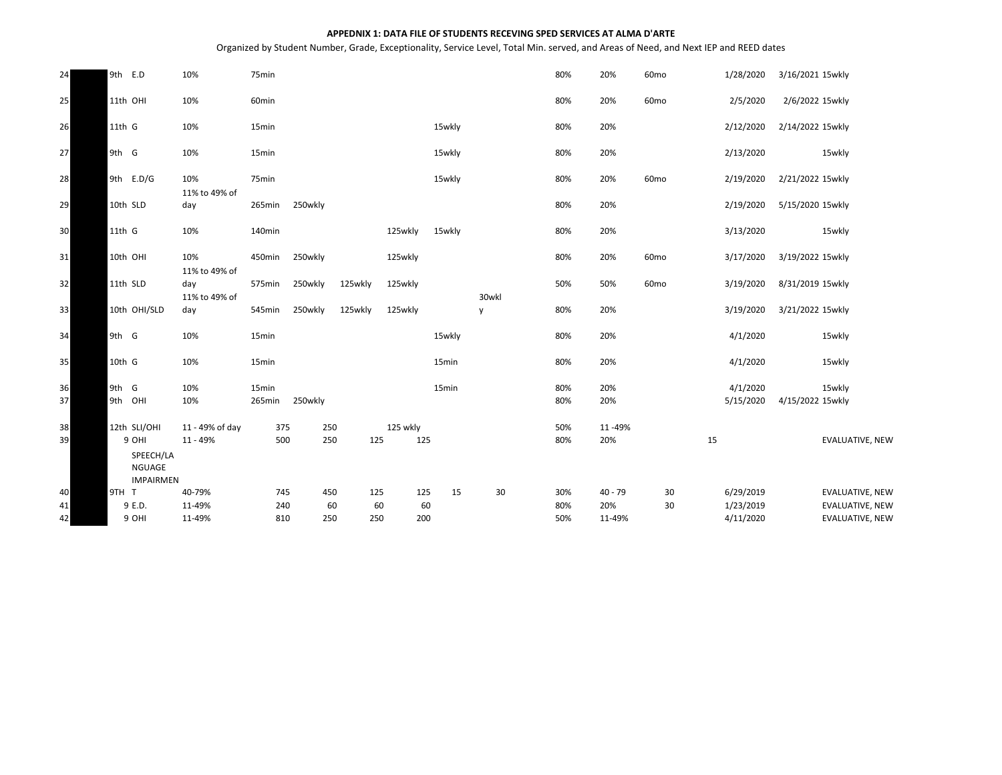#### **APPEDNIX 1: DATA FILE OF STUDENTS RECEVING SPED SERVICES AT ALMA D'ARTE**

Organized by Student Number, Grade, Exceptionality, Service Level, Total Min. served, and Areas of Need, and Next IEP and REED dates

| 24       | 9th E.D                         | 10%                                      | 75min           |            |           |                 |        |            | 80%        | 20%           | 60 <sub>mo</sub> | 1/28/2020              | 3/16/2021 15wkly                                 |
|----------|---------------------------------|------------------------------------------|-----------------|------------|-----------|-----------------|--------|------------|------------|---------------|------------------|------------------------|--------------------------------------------------|
| 25       | 11th OHI                        | 10%                                      | 60min           |            |           |                 |        |            | 80%        | 20%           | 60 <sub>mo</sub> | 2/5/2020               | 2/6/2022 15wkly                                  |
| 26       | $11th$ G                        | 10%                                      | 15min           |            |           |                 | 15wkly |            | 80%        | 20%           |                  | 2/12/2020              | 2/14/2022 15wkly                                 |
| 27       | 9th G                           | 10%                                      | 15min           |            |           |                 | 15wkly |            | 80%        | 20%           |                  | 2/13/2020              | 15wkly                                           |
| 28       | 9th E.D/G                       | 10%                                      | 75min           |            |           |                 | 15wkly |            | 80%        | 20%           | 60 <sub>mo</sub> | 2/19/2020              | 2/21/2022 15wkly                                 |
| 29       | 10th SLD                        | 11% to 49% of<br>day                     | 265min          | 250wkly    |           |                 |        |            | 80%        | 20%           |                  | 2/19/2020              | 5/15/2020 15wkly                                 |
| 30       | $11th$ G                        | 10%                                      | 140min          |            |           | 125wkly         | 15wkly |            | 80%        | 20%           |                  | 3/13/2020              | 15wkly                                           |
| 31       | 10th OHI                        | 10%                                      | 450min          | 250wkly    |           | 125wkly         |        |            | 80%        | 20%           | 60 <sub>mo</sub> | 3/17/2020              | 3/19/2022 15wkly                                 |
| 32       | 11th SLD                        | 11% to 49% of<br>day                     | 575min          | 250wkly    | 125wkly   | 125wkly         |        |            | 50%        | 50%           | 60 <sub>mo</sub> | 3/19/2020              | 8/31/2019 15wkly                                 |
| 33       | 10th OHI/SLD                    | 11% to 49% of<br>day                     | 545min          | 250wkly    | 125wkly   | 125wkly         |        | 30wkl<br>y | 80%        | 20%           |                  | 3/19/2020              | 3/21/2022 15wkly                                 |
| 34       | 9th G                           | 10%                                      | 15min           |            |           |                 | 15wkly |            | 80%        | 20%           |                  | 4/1/2020               | 15wkly                                           |
| 35       | 10th G                          | 10%                                      | 15min           |            |           |                 | 15min  |            | 80%        | 20%           |                  | 4/1/2020               | 15wkly                                           |
| 36<br>37 | 9th G<br>9th OHI                | 10%<br>10%                               | 15min<br>265min | 250wkly    |           |                 | 15min  |            | 80%<br>80% | 20%<br>20%    |                  | 4/1/2020<br>5/15/2020  | 15wkly<br>4/15/2022 15wkly                       |
| 38<br>39 | 12th SLI/OHI<br>9 OHI<br>NGUAGE | 11 - 49% of day<br>11 - 49%<br>SPEECH/LA | 375<br>500      | 250<br>250 | 125       | 125 wkly<br>125 |        |            | 50%<br>80% | 11-49%<br>20% |                  | 15                     | <b>EVALUATIVE, NEW</b>                           |
| 40       | 9TH T                           | <b>IMPAIRMEN</b><br>40-79%               | 745             | 450        | 125       | 125             | 15     | 30         | 30%        | $40 - 79$     | 30               | 6/29/2019              | <b>EVALUATIVE, NEW</b>                           |
| 41<br>42 | 9 E.D.<br>9 OHI                 | 11-49%<br>11-49%                         | 240<br>810      | 60<br>250  | 60<br>250 | 60<br>200       |        |            | 80%<br>50% | 20%<br>11-49% | 30               | 1/23/2019<br>4/11/2020 | <b>EVALUATIVE, NEW</b><br><b>EVALUATIVE, NEW</b> |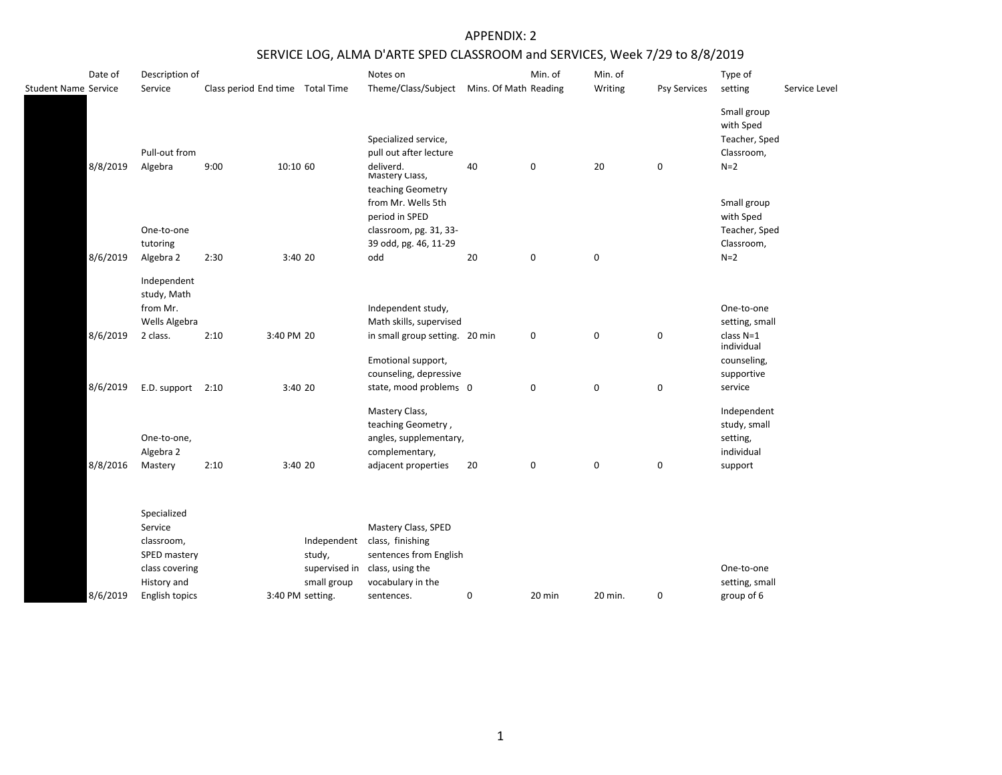| Date of<br>Student Name Service | Description of<br>Service                                                             | Class period End time Total Time |                  |                                      | Notes on<br>Theme/Class/Subject Mins. Of Math Reading                                                                    |    | Min. of     | Min. of<br>Writing | Psy Services     | Type of<br>setting                                               | Service Level |
|---------------------------------|---------------------------------------------------------------------------------------|----------------------------------|------------------|--------------------------------------|--------------------------------------------------------------------------------------------------------------------------|----|-------------|--------------------|------------------|------------------------------------------------------------------|---------------|
| 8/8/2019                        | Pull-out from<br>Algebra                                                              | 9:00                             | 10:10 60         |                                      | Specialized service,<br>pull out after lecture<br>deliverd.<br>Mastery Class,                                            | 40 | 0           | 20                 | $\mathbf 0$      | Small group<br>with Sped<br>Teacher, Sped<br>Classroom,<br>$N=2$ |               |
|                                 |                                                                                       |                                  |                  |                                      | teaching Geometry<br>from Mr. Wells 5th<br>period in SPED                                                                |    |             |                    |                  | Small group<br>with Sped                                         |               |
|                                 | One-to-one                                                                            |                                  |                  |                                      | classroom, pg. 31, 33-                                                                                                   |    |             |                    |                  | Teacher, Sped                                                    |               |
| 8/6/2019                        | tutoring<br>Algebra 2                                                                 | 2:30                             | 3:40 20          |                                      | 39 odd, pg. 46, 11-29<br>odd                                                                                             | 20 | $\pmb{0}$   | 0                  |                  | Classroom,<br>$N=2$                                              |               |
|                                 | Independent<br>study, Math<br>from Mr.                                                |                                  |                  |                                      | Independent study,                                                                                                       |    |             |                    |                  | One-to-one                                                       |               |
|                                 | Wells Algebra                                                                         |                                  |                  |                                      | Math skills, supervised                                                                                                  |    |             |                    |                  | setting, small                                                   |               |
| 8/6/2019                        | 2 class.                                                                              | 2:10                             | 3:40 PM 20       |                                      | in small group setting. 20 min                                                                                           |    | 0           | 0                  | $\mathbf 0$      | class $N=1$<br>individual                                        |               |
|                                 |                                                                                       |                                  |                  |                                      | Emotional support,<br>counseling, depressive                                                                             |    |             |                    |                  | counseling,<br>supportive                                        |               |
| 8/6/2019                        | E.D. support 2:10                                                                     |                                  | 3:40 20          |                                      | state, mood problems 0                                                                                                   |    | $\mathbf 0$ | 0                  | $\mathbf 0$      | service                                                          |               |
|                                 | One-to-one,<br>Algebra 2                                                              |                                  |                  |                                      | Mastery Class,<br>teaching Geometry,<br>angles, supplementary,<br>complementary,                                         |    |             |                    |                  | Independent<br>study, small<br>setting,<br>individual            |               |
| 8/8/2016                        | Mastery                                                                               | 2:10                             | 3:40 20          |                                      | adjacent properties                                                                                                      | 20 | 0           | $\mathbf 0$        | $\boldsymbol{0}$ | support                                                          |               |
|                                 | Specialized<br>Service<br>classroom,<br>SPED mastery<br>class covering<br>History and |                                  |                  | Independent<br>study,<br>small group | Mastery Class, SPED<br>class, finishing<br>sentences from English<br>supervised in class, using the<br>vocabulary in the |    |             |                    |                  | One-to-one<br>setting, small                                     |               |
| 8/6/2019                        | English topics                                                                        |                                  | 3:40 PM setting. |                                      | sentences.                                                                                                               | 0  | 20 min      | 20 min.            | $\mathbf 0$      | group of 6                                                       |               |
|                                 |                                                                                       |                                  |                  |                                      |                                                                                                                          |    |             |                    |                  |                                                                  |               |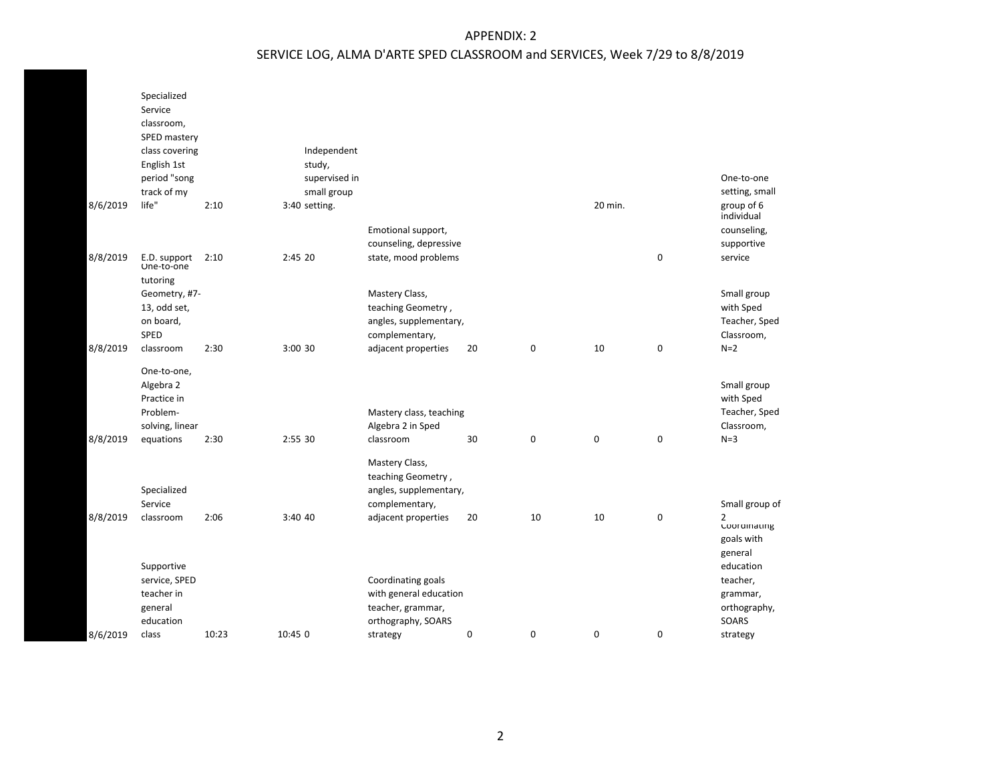|          | Specialized<br>Service<br>classroom,<br>SPED mastery |       |                         |                         |    |    |             |                  |                                |
|----------|------------------------------------------------------|-------|-------------------------|-------------------------|----|----|-------------|------------------|--------------------------------|
|          | class covering                                       |       | Independent             |                         |    |    |             |                  |                                |
|          | English 1st<br>period "song                          |       | study,<br>supervised in |                         |    |    |             |                  | One-to-one                     |
|          | track of my                                          |       | small group             |                         |    |    |             |                  | setting, small                 |
| 8/6/2019 | life"                                                | 2:10  | 3:40 setting.           |                         |    |    | 20 min.     |                  | group of 6<br>individual       |
|          |                                                      |       |                         | Emotional support,      |    |    |             |                  | counseling,                    |
|          |                                                      |       |                         | counseling, depressive  |    |    |             |                  | supportive                     |
| 8/8/2019 | E.D. support<br>One-to-one                           | 2:10  | 2:45 20                 | state, mood problems    |    |    |             | $\pmb{0}$        | service                        |
|          | tutoring<br>Geometry, #7-                            |       |                         | Mastery Class,          |    |    |             |                  | Small group                    |
|          | 13, odd set,                                         |       |                         | teaching Geometry,      |    |    |             |                  | with Sped                      |
|          | on board,                                            |       |                         | angles, supplementary,  |    |    |             |                  | Teacher, Sped                  |
|          | SPED                                                 |       |                         | complementary,          |    |    |             |                  | Classroom,                     |
| 8/8/2019 | classroom                                            | 2:30  | 3:00 30                 | adjacent properties     | 20 | 0  | 10          | $\boldsymbol{0}$ | $N=2$                          |
|          | One-to-one,                                          |       |                         |                         |    |    |             |                  |                                |
|          | Algebra 2                                            |       |                         |                         |    |    |             |                  | Small group                    |
|          | Practice in<br>Problem-                              |       |                         | Mastery class, teaching |    |    |             |                  | with Sped<br>Teacher, Sped     |
|          | solving, linear                                      |       |                         | Algebra 2 in Sped       |    |    |             |                  | Classroom,                     |
| 8/8/2019 | equations                                            | 2:30  | 2:55 30                 | classroom               | 30 | 0  | $\mathbf 0$ | 0                | $N=3$                          |
|          |                                                      |       |                         | Mastery Class,          |    |    |             |                  |                                |
|          |                                                      |       |                         | teaching Geometry,      |    |    |             |                  |                                |
|          | Specialized                                          |       |                         | angles, supplementary,  |    |    |             |                  |                                |
|          | Service                                              |       |                         | complementary,          |    |    |             |                  | Small group of                 |
| 8/8/2019 | classroom                                            | 2:06  | 3:40 40                 | adjacent properties     | 20 | 10 | 10          | 0                | $\overline{2}$<br>Coordinating |
|          |                                                      |       |                         |                         |    |    |             |                  | goals with                     |
|          |                                                      |       |                         |                         |    |    |             |                  | general                        |
|          | Supportive                                           |       |                         |                         |    |    |             |                  | education                      |
|          | service, SPED                                        |       |                         | Coordinating goals      |    |    |             |                  | teacher,                       |
|          | teacher in                                           |       |                         | with general education  |    |    |             |                  | grammar,                       |
|          | general                                              |       |                         | teacher, grammar,       |    |    |             |                  | orthography,                   |
|          | education                                            |       |                         | orthography, SOARS      |    |    |             |                  | SOARS                          |
| 8/6/2019 | class                                                | 10:23 | 10:45 0                 | strategy                | 0  | 0  | 0           | $\pmb{0}$        | strategy                       |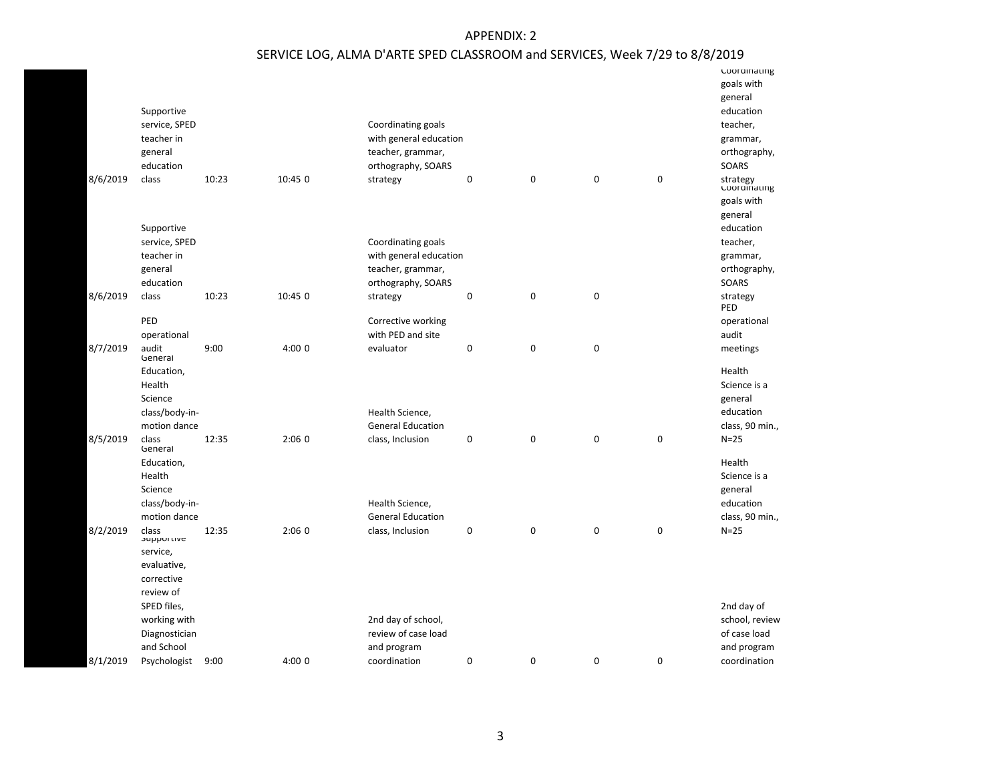|          | Supportive<br>service, SPED<br>teacher in<br>general |       |         | Coordinating goals<br>with general education<br>teacher, grammar, |                  |                  |             |             | coordinating<br>goals with<br>general<br>education<br>teacher,<br>grammar,<br>orthography, |
|----------|------------------------------------------------------|-------|---------|-------------------------------------------------------------------|------------------|------------------|-------------|-------------|--------------------------------------------------------------------------------------------|
|          | education                                            |       |         | orthography, SOARS                                                |                  |                  |             |             | SOARS                                                                                      |
| 8/6/2019 | class                                                | 10:23 | 10:45 0 | strategy                                                          | $\boldsymbol{0}$ | 0                | $\mathbf 0$ | 0           | strategy<br>coordinating                                                                   |
|          |                                                      |       |         |                                                                   |                  |                  |             |             | goals with<br>general                                                                      |
|          | Supportive                                           |       |         |                                                                   |                  |                  |             |             | education                                                                                  |
|          | service, SPED                                        |       |         | Coordinating goals                                                |                  |                  |             |             | teacher,                                                                                   |
|          | teacher in                                           |       |         | with general education                                            |                  |                  |             |             | grammar,                                                                                   |
|          | general                                              |       |         | teacher, grammar,                                                 |                  |                  |             |             | orthography,                                                                               |
|          | education                                            |       |         | orthography, SOARS                                                |                  |                  |             |             | SOARS                                                                                      |
| 8/6/2019 | class                                                | 10:23 | 10:45 0 | strategy                                                          | $\mathbf 0$      | $\boldsymbol{0}$ | $\mathbf 0$ |             | strategy<br>PED                                                                            |
|          | PED                                                  |       |         | Corrective working                                                |                  |                  |             |             | operational                                                                                |
|          | operational                                          |       |         | with PED and site                                                 |                  |                  |             |             | audit                                                                                      |
| 8/7/2019 | audit<br>General                                     | 9:00  | 4:000   | evaluator                                                         | 0                | 0                | $\mathbf 0$ |             | meetings                                                                                   |
|          | Education,<br>Health                                 |       |         |                                                                   |                  |                  |             |             | Health<br>Science is a                                                                     |
|          | Science                                              |       |         |                                                                   |                  |                  |             |             | general                                                                                    |
|          | class/body-in-                                       |       |         | Health Science,                                                   |                  |                  |             |             | education                                                                                  |
|          | motion dance                                         |       |         | <b>General Education</b>                                          |                  |                  |             |             | class, 90 min.,                                                                            |
| 8/5/2019 | class<br>General                                     | 12:35 | 2:060   | class, Inclusion                                                  | $\mathbf 0$      | $\mathbf 0$      | $\mathbf 0$ | $\pmb{0}$   | $N=25$                                                                                     |
|          | Education,                                           |       |         |                                                                   |                  |                  |             |             | Health                                                                                     |
|          | Health<br>Science                                    |       |         |                                                                   |                  |                  |             |             | Science is a<br>general                                                                    |
|          | class/body-in-                                       |       |         | Health Science,                                                   |                  |                  |             |             | education                                                                                  |
|          | motion dance                                         |       |         | <b>General Education</b>                                          |                  |                  |             |             | class, 90 min.,                                                                            |
| 8/2/2019 | class<br><b>Supportive</b>                           | 12:35 | 2:060   | class, Inclusion                                                  | $\mathbf 0$      | $\mathbf 0$      | 0           | $\pmb{0}$   | $N=25$                                                                                     |
|          | service,                                             |       |         |                                                                   |                  |                  |             |             |                                                                                            |
|          | evaluative,                                          |       |         |                                                                   |                  |                  |             |             |                                                                                            |
|          | corrective<br>review of                              |       |         |                                                                   |                  |                  |             |             |                                                                                            |
|          | SPED files,                                          |       |         |                                                                   |                  |                  |             |             | 2nd day of                                                                                 |
|          | working with                                         |       |         | 2nd day of school,                                                |                  |                  |             |             | school, review                                                                             |
|          | Diagnostician                                        |       |         | review of case load                                               |                  |                  |             |             | of case load                                                                               |
|          | and School                                           |       |         | and program                                                       |                  |                  |             |             | and program                                                                                |
| 8/1/2019 | Psychologist                                         | 9:00  | 4:00 0  | coordination                                                      | 0                | $\mathbf 0$      | $\mathbf 0$ | $\mathbf 0$ | coordination                                                                               |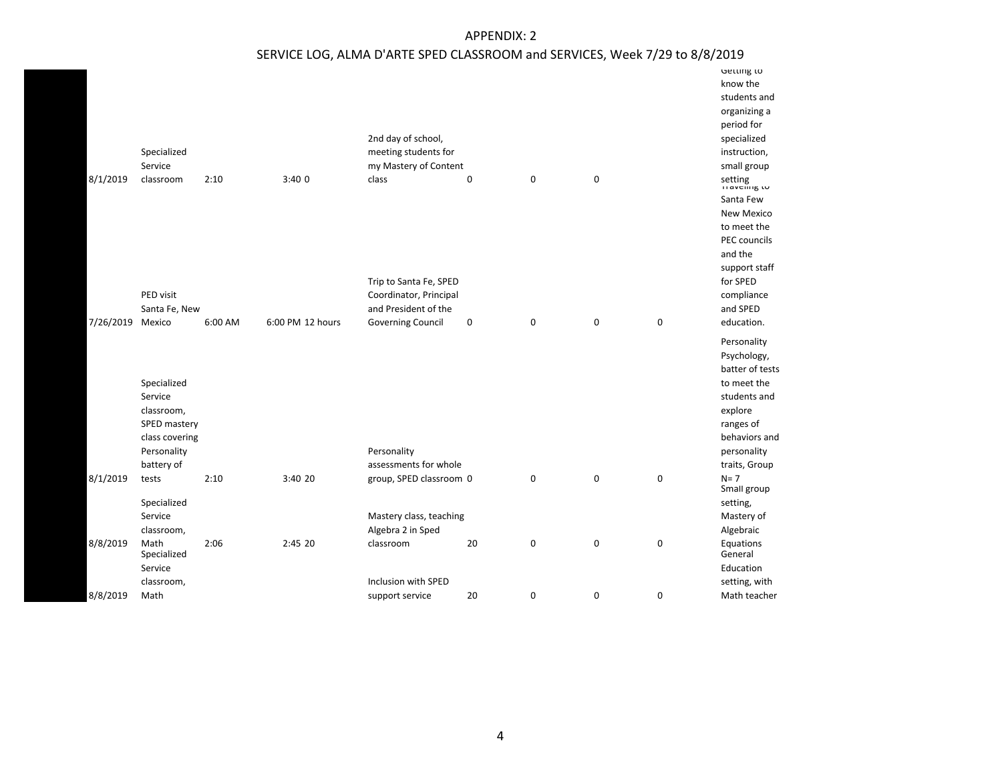|                  | Specialized                                          |         |                  | 2nd day of school,<br>meeting students for     |                  |   |             |                  | Getting to<br>know the<br>students and<br>organizing a<br>period for<br>specialized<br>instruction,  |
|------------------|------------------------------------------------------|---------|------------------|------------------------------------------------|------------------|---|-------------|------------------|------------------------------------------------------------------------------------------------------|
|                  | Service                                              |         |                  | my Mastery of Content                          |                  |   |             |                  | small group                                                                                          |
| 8/1/2019         | classroom                                            | 2:10    | 3:400            | class                                          | $\mathbf 0$      | 0 | $\mathbf 0$ |                  | setting<br>பல்காப்படு                                                                                |
|                  |                                                      |         |                  |                                                |                  |   |             |                  | Santa Few                                                                                            |
|                  |                                                      |         |                  |                                                |                  |   |             |                  | <b>New Mexico</b>                                                                                    |
|                  |                                                      |         |                  |                                                |                  |   |             |                  | to meet the                                                                                          |
|                  |                                                      |         |                  |                                                |                  |   |             |                  | PEC councils                                                                                         |
|                  |                                                      |         |                  |                                                |                  |   |             |                  | and the                                                                                              |
|                  |                                                      |         |                  |                                                |                  |   |             |                  | support staff                                                                                        |
|                  | PED visit                                            |         |                  | Trip to Santa Fe, SPED                         |                  |   |             |                  | for SPED                                                                                             |
|                  | Santa Fe, New                                        |         |                  | Coordinator, Principal<br>and President of the |                  |   |             |                  | compliance<br>and SPED                                                                               |
| 7/26/2019 Mexico |                                                      | 6:00 AM | 6:00 PM 12 hours | <b>Governing Council</b>                       | $\boldsymbol{0}$ | 0 | $\mathbf 0$ | $\mathbf 0$      | education.                                                                                           |
|                  |                                                      |         |                  |                                                |                  |   |             |                  |                                                                                                      |
|                  | Specialized<br>Service<br>classroom,<br>SPED mastery |         |                  |                                                |                  |   |             |                  | Personality<br>Psychology,<br>batter of tests<br>to meet the<br>students and<br>explore<br>ranges of |
|                  | class covering                                       |         |                  |                                                |                  |   |             |                  | behaviors and                                                                                        |
|                  | Personality                                          |         |                  | Personality                                    |                  |   |             |                  | personality                                                                                          |
|                  | battery of                                           |         |                  | assessments for whole                          |                  |   |             |                  | traits, Group                                                                                        |
| 8/1/2019         | tests                                                | 2:10    | 3:40 20          | group, SPED classroom 0                        |                  | 0 | $\pmb{0}$   | $\mathbf 0$      | $N = 7$<br>Small group                                                                               |
|                  | Specialized                                          |         |                  |                                                |                  |   |             |                  | setting,                                                                                             |
|                  | Service                                              |         |                  | Mastery class, teaching                        |                  |   |             |                  | Mastery of                                                                                           |
|                  | classroom,                                           |         |                  | Algebra 2 in Sped                              |                  |   |             |                  | Algebraic                                                                                            |
| 8/8/2019         | Math<br>Specialized                                  | 2:06    | 2:45 20          | classroom                                      | 20               | 0 | $\pmb{0}$   | $\mathbf 0$      | Equations<br>General                                                                                 |
|                  | Service                                              |         |                  |                                                |                  |   |             |                  | Education                                                                                            |
|                  | classroom,                                           |         |                  | Inclusion with SPED                            |                  |   |             |                  | setting, with                                                                                        |
| 8/8/2019         | Math                                                 |         |                  | support service                                | 20               | 0 | $\mathbf 0$ | $\boldsymbol{0}$ | Math teacher                                                                                         |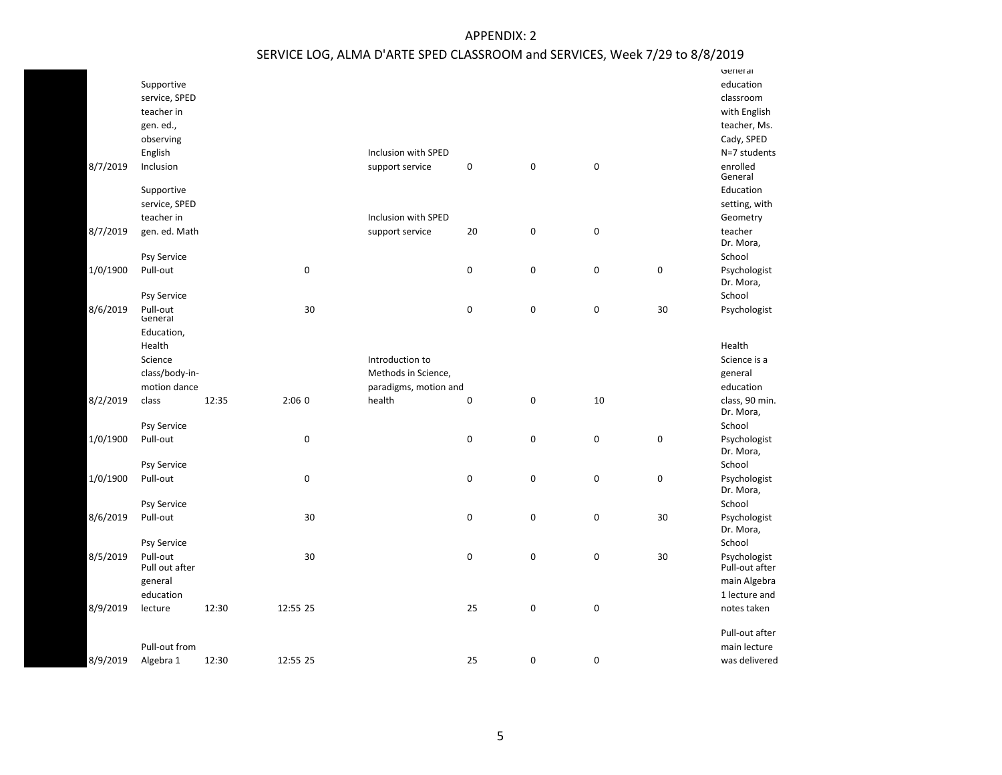|          |                            |       |             |                       |             |             |           |           | General                        |
|----------|----------------------------|-------|-------------|-----------------------|-------------|-------------|-----------|-----------|--------------------------------|
|          | Supportive                 |       |             |                       |             |             |           |           | education                      |
|          | service, SPED              |       |             |                       |             |             |           |           | classroom                      |
|          | teacher in                 |       |             |                       |             |             |           |           | with English                   |
|          | gen. ed.,                  |       |             |                       |             |             |           |           | teacher, Ms.                   |
|          | observing                  |       |             |                       |             |             |           |           | Cady, SPED                     |
|          | English                    |       |             | Inclusion with SPED   |             |             |           |           | N=7 students                   |
| 8/7/2019 | Inclusion                  |       |             | support service       | $\pmb{0}$   | $\mathbf 0$ | $\pmb{0}$ |           | enrolled<br>General            |
|          | Supportive                 |       |             |                       |             |             |           |           | Education                      |
|          | service, SPED              |       |             |                       |             |             |           |           | setting, with                  |
|          | teacher in                 |       |             | Inclusion with SPED   |             |             |           |           | Geometry                       |
| 8/7/2019 | gen. ed. Math              |       |             | support service       | 20          | $\mathbf 0$ | $\pmb{0}$ |           | teacher                        |
|          |                            |       |             |                       |             |             |           |           | Dr. Mora,                      |
|          | Psy Service                |       |             |                       |             |             |           |           | School                         |
| 1/0/1900 | Pull-out                   |       | $\mathbf 0$ |                       | $\mathbf 0$ | $\mathbf 0$ | $\pmb{0}$ | $\pmb{0}$ | Psychologist                   |
|          |                            |       |             |                       |             |             |           |           | Dr. Mora,                      |
|          | Psy Service                |       |             |                       |             |             |           |           | School                         |
| 8/6/2019 | Pull-out<br>General        |       | 30          |                       | $\mathbf 0$ | 0           | $\pmb{0}$ | 30        | Psychologist                   |
|          | Education,                 |       |             |                       |             |             |           |           |                                |
|          | Health                     |       |             |                       |             |             |           |           | Health                         |
|          | Science                    |       |             | Introduction to       |             |             |           |           | Science is a                   |
|          | class/body-in-             |       |             | Methods in Science,   |             |             |           |           | general                        |
|          | motion dance               |       |             | paradigms, motion and |             |             |           |           | education                      |
| 8/2/2019 | class                      | 12:35 | 2:060       | health                | $\mathbf 0$ | 0           | 10        |           | class, 90 min.                 |
|          |                            |       |             |                       |             |             |           |           | Dr. Mora,                      |
|          | Psy Service                |       |             |                       |             |             |           |           | School                         |
| 1/0/1900 | Pull-out                   |       | 0           |                       | $\pmb{0}$   | $\mathbf 0$ | $\pmb{0}$ | $\pmb{0}$ | Psychologist                   |
|          |                            |       |             |                       |             |             |           |           | Dr. Mora,                      |
|          | Psy Service                |       |             |                       |             |             |           |           | School                         |
| 1/0/1900 | Pull-out                   |       | $\mathbf 0$ |                       | $\mathbf 0$ | $\mathbf 0$ | $\pmb{0}$ | $\pmb{0}$ | Psychologist<br>Dr. Mora,      |
|          | Psy Service                |       |             |                       |             |             |           |           | School                         |
| 8/6/2019 | Pull-out                   |       | 30          |                       | $\mathbf 0$ | 0           | $\pmb{0}$ | 30        | Psychologist<br>Dr. Mora,      |
|          | Psy Service                |       |             |                       |             |             |           |           | School                         |
| 8/5/2019 | Pull-out<br>Pull out after |       | 30          |                       | $\pmb{0}$   | 0           | $\pmb{0}$ | 30        | Psychologist<br>Pull-out after |
|          | general                    |       |             |                       |             |             |           |           | main Algebra                   |
|          | education                  |       |             |                       |             |             |           |           | 1 lecture and                  |
| 8/9/2019 | lecture                    | 12:30 | 12:55 25    |                       | 25          | 0           | $\pmb{0}$ |           | notes taken                    |
|          |                            |       |             |                       |             |             |           |           | Pull-out after                 |
|          | Pull-out from              |       |             |                       |             |             |           |           | main lecture                   |
| 8/9/2019 | Algebra 1                  | 12:30 | 12:55 25    |                       | 25          | $\mathbf 0$ | 0         |           | was delivered                  |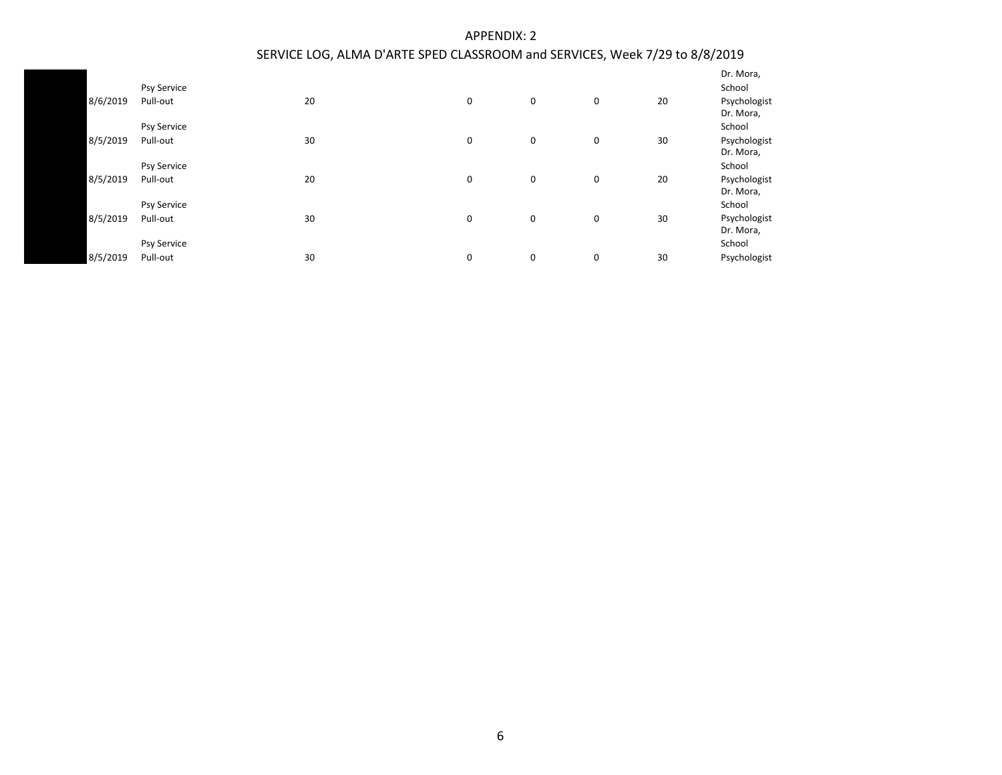|          |                    |    |   |   |             |    | Dr. Mora,                 |
|----------|--------------------|----|---|---|-------------|----|---------------------------|
|          | <b>Psy Service</b> |    |   |   |             |    | School                    |
| 8/6/2019 | Pull-out           | 20 | 0 | 0 | 0           | 20 | Psychologist<br>Dr. Mora, |
|          | <b>Psy Service</b> |    |   |   |             |    | School                    |
| 8/5/2019 | Pull-out           | 30 | 0 | 0 | 0           | 30 | Psychologist              |
|          |                    |    |   |   |             |    | Dr. Mora,                 |
|          | <b>Psy Service</b> |    |   |   |             |    | School                    |
| 8/5/2019 | Pull-out           | 20 | 0 | 0 | $\mathbf 0$ | 20 | Psychologist              |
|          |                    |    |   |   |             |    | Dr. Mora,                 |
|          | <b>Psy Service</b> |    |   |   |             |    | School                    |
| 8/5/2019 | Pull-out           | 30 | 0 | 0 | $\mathbf 0$ | 30 | Psychologist              |
|          |                    |    |   |   |             |    | Dr. Mora,                 |
|          | <b>Psy Service</b> |    |   |   |             |    | School                    |
| 8/5/2019 | Pull-out           | 30 | 0 | 0 | 0           | 30 | Psychologist              |
|          |                    |    |   |   |             |    |                           |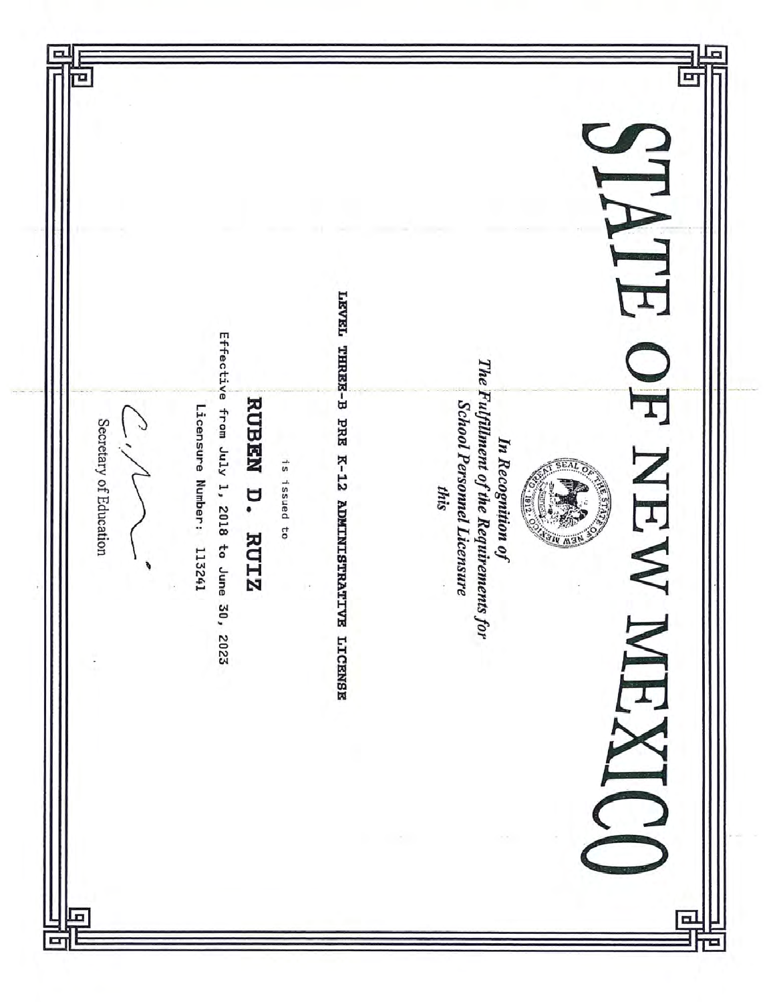| Effective                                                                                                                                                                                                                                                          | $\mathbf{r}$                                                  |
|--------------------------------------------------------------------------------------------------------------------------------------------------------------------------------------------------------------------------------------------------------------------|---------------------------------------------------------------|
| <b>RUBEN</b>                                                                                                                                                                                                                                                       | T                                                             |
| LEVEL THRES-B PRE K-12 ADMINISTRATIVE LICENSE<br>The Fulfillment of the Requirements for<br>School Personnel Licensure<br>Licensure Number: 113241<br>from July 1, 2018 to June<br>Secretary of Education<br>is issued to<br>n.<br>this<br><b>RUIZ</b><br>30, 2023 | In Recognition of<br>NEW<br><b>RETTER</b><br>1912.00<br>AIN W |
|                                                                                                                                                                                                                                                                    |                                                               |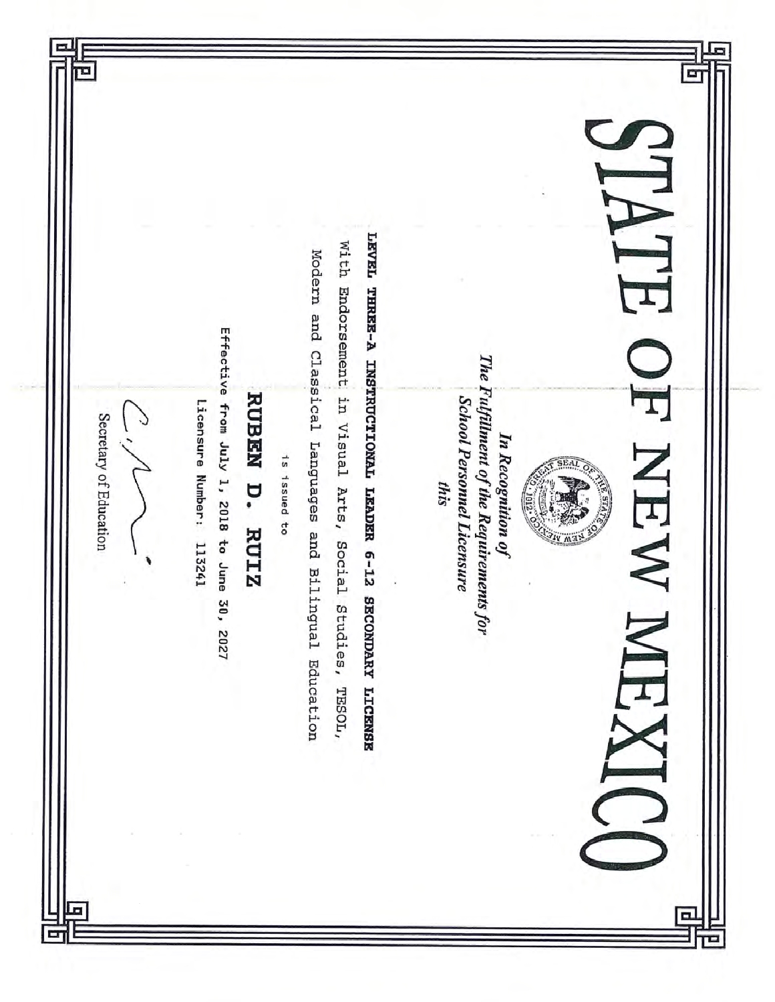|                        |                                                                    |                         |              |                                                        |                                            |                                         | $\geq$                                                                                                                                           |
|------------------------|--------------------------------------------------------------------|-------------------------|--------------|--------------------------------------------------------|--------------------------------------------|-----------------------------------------|--------------------------------------------------------------------------------------------------------------------------------------------------|
| Secretary of Education | Effective from July 1, 2018 to June<br>Licensure Number:<br>113241 | <b>RUBEN</b><br>D. RUIZ | 1s issued to | Modern and Classical Languages and Bilingual Education | With Endorsement in Visual Arts,<br>Social | LEVEL THREE-A INSTRUCTIONAL LEADER 6-12 | The Fulfillment of the Requirements for<br><b>School Personnel Licensure</b><br>In Recognition of<br>Z<br><b>Surveyor</b><br>this<br>1012.<br>EW |
|                        | 30, 2027                                                           |                         |              |                                                        | Studies,<br>TESOL,                         | <b>SECONDARY LICENSE</b>                |                                                                                                                                                  |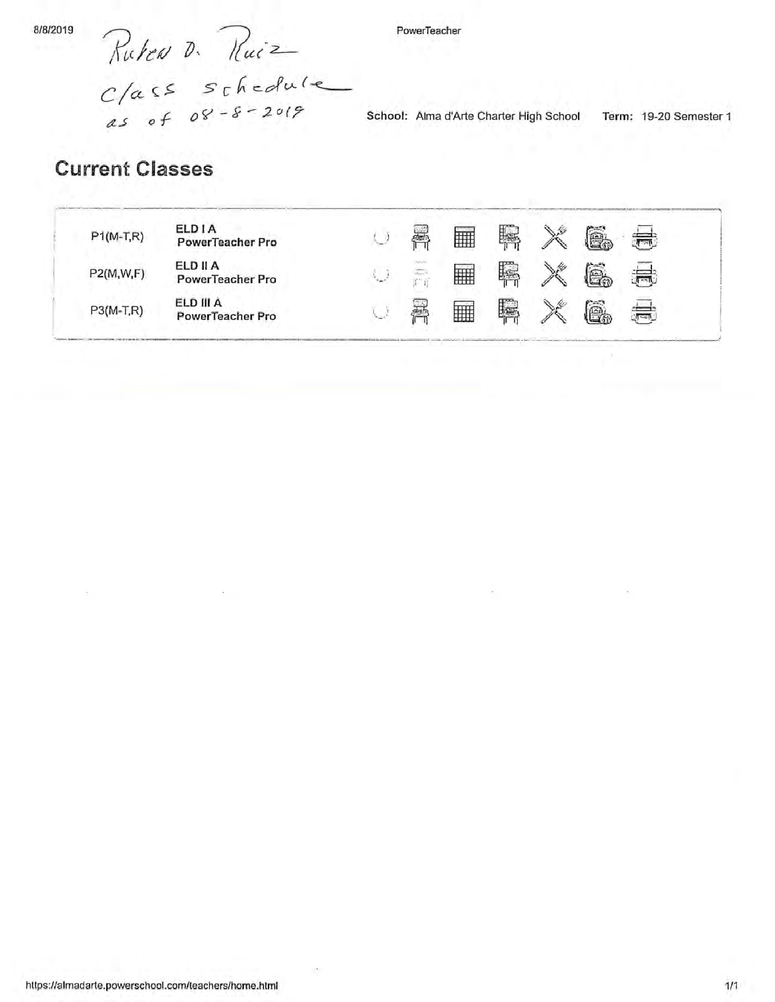Rutea D. Ruiz<br>Class schedule

PowerTeacher

School: Alma d'Arte Charter High School Term: 19-20 Semester 1

# **Current Classes**

| $P1(M-T,R)$ | ELD I A<br>PowerTeacher Pro                | <b>Security</b>     | Alla | M | F | $\mathbb{Z}^2$ | é.       | 氘       |
|-------------|--------------------------------------------|---------------------|------|---|---|----------------|----------|---------|
| P2(M, W, F) | <b>ELD II A</b><br><b>PowerTeacher Pro</b> | $\omega_{\rm{min}}$ | Z.   | 雦 | Ŗ | $\mathbb{R}^N$ | é.       | $1 - 1$ |
| $P3(M-T,R)$ | ELD III A<br>PowerTeacher Pro              |                     | 525  | 鄦 | 聺 | ⇘              | ل<br>آها | .ग़≂ल   |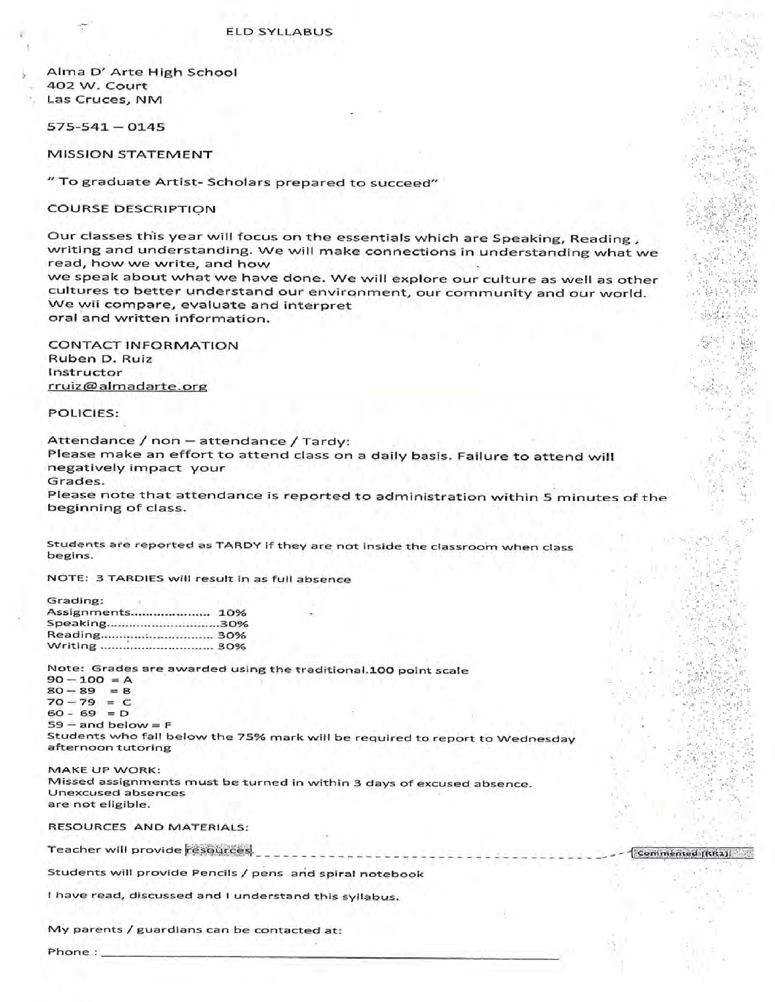Alma D' Arte High School 402 W. Court Las Cruces, NM

 $575 - 541 - 0145$ 

**MISSION STATEMENT** 

" To graduate Artist- Scholars prepared to succeed"

**COURSE DESCRIPTION** 

Our classes this year will focus on the essentials which are Speaking, Reading, writing and understanding. We will make connections in understanding what we read, how we write, and how

we speak about what we have done. We will explore our culture as well as other cultures to better understand our environment, our community and our world. We wil compare, evaluate and interpret oral and written information.

**CONTACT INFORMATION** Ruben D. Ruiz Instructor rruiz@almadarte.org

POLICIES:

Attendance / non - attendance / Tardy: Please make an effort to attend class on a daily basis. Failure to attend will negatively impact your Grades.

Please note that attendance is reported to administration within 5 minutes of the beginning of class.

---------------

Commented [RR1]

Students are reported as TARDY if they are not inside the classroom when class begins.

NOTE: 3 TARDIES will result in as full absence

| Grading:     |     |
|--------------|-----|
| Assignments  | 10% |
| Speaking30%  |     |
| Reading 30%  |     |
| Writing  30% |     |
|              |     |

Note: Grades are awarded using the traditional.100 point scale

 $90 - 100 = A$  $80 - 89$  $=$  B  $70 - 79 = C$  $60 - 69 = D$  $59 - and below = F$ Students who fall below the 75% mark will be required to report to Wednesday afternoon tutoring

MAKE UP WORK: Missed assignments must be turned in within 3 days of excused absence. **Unexcused absences** are not eligible.

**RESOURCES AND MATERIALS:** 

Teacher will provide resources.

Students will provide Pencils / pens and spiral notebook

I have read, discussed and I understand this syllabus.

My parents / guardians can be contacted at:

Phone:  $\overline{\phantom{a}}$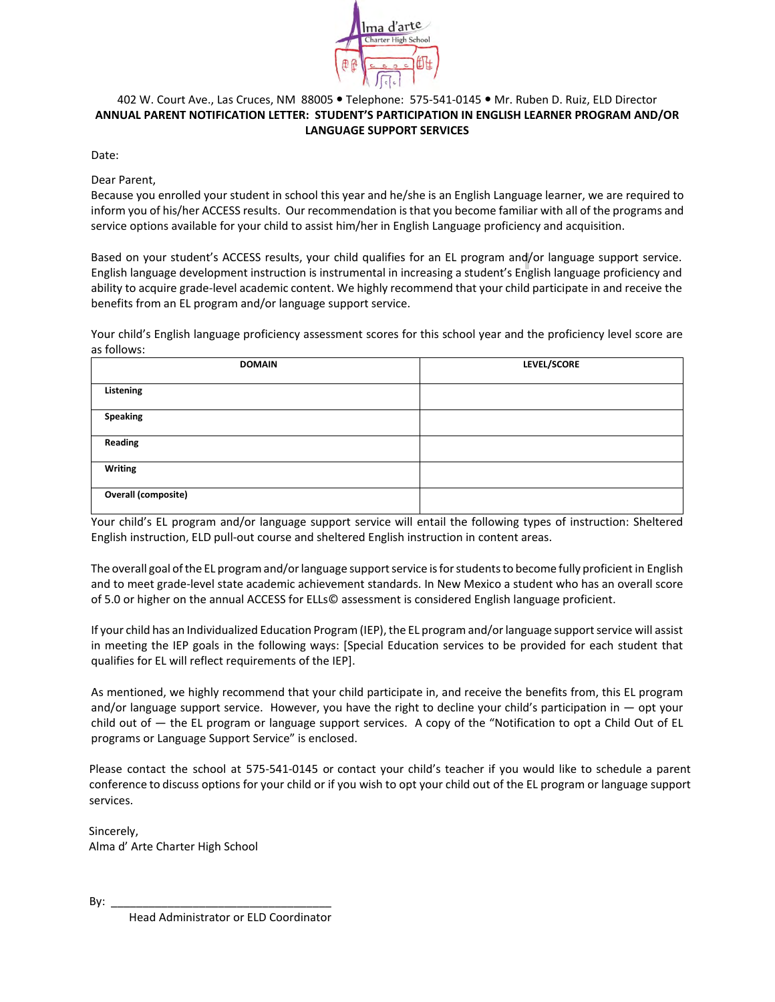

#### 402 W. Court Ave., Las Cruces, NM 88005 · Telephone: 575-541-0145 · Mr. Ruben D. Ruiz, ELD Director **ANNUAL PARENT NOTIFICATION LETTER: STUDENT'S PARTICIPATION IN ENGLISH LEARNER PROGRAM AND/OR LANGUAGE SUPPORT SERVICES**

Date:

Dear Parent,

Because you enrolled your student in school this year and he/she is an English Language learner, we are required to inform you of his/her ACCESS results. Our recommendation is that you become familiar with all of the programs and service options available for your child to assist him/her in English Language proficiency and acquisition.

Based on your student's ACCESS results, your child qualifies for an EL program and/or language support service. English language development instruction is instrumental in increasing a student's English language proficiency and ability to acquire grade-level academic content. We highly recommend that your child participate in and receive the benefits from an EL program and/or language support service.

Your child's English language proficiency assessment scores for this school year and the proficiency level score are as follows:

| <b>DOMAIN</b>              | LEVEL/SCORE |
|----------------------------|-------------|
| Listening                  |             |
| <b>Speaking</b>            |             |
| Reading                    |             |
| Writing                    |             |
| <b>Overall (composite)</b> |             |

Your child's EL program and/or language support service will entail the following types of instruction: Sheltered English instruction, ELD pull-out course and sheltered English instruction in content areas.

The overall goal of the EL program and/or language supportservice is for students to become fully proficient in English and to meet grade-level state academic achievement standards. In New Mexico a student who has an overall score of 5.0 or higher on the annual ACCESS for ELLs© assessment is considered English language proficient.

If your child has an Individualized Education Program (IEP), the EL program and/orlanguage supportservice will assist in meeting the IEP goals in the following ways: [Special Education services to be provided for each student that qualifies for EL will reflect requirements of the IEP].

As mentioned, we highly recommend that your child participate in, and receive the benefits from, this EL program and/or language support service. However, you have the right to decline your child's participation in  $-$  opt your child out of — the EL program or language support services. A copy of the "Notification to opt a Child Out of EL programs or Language Support Service" is enclosed.

Please contact the school at 575-541-0145 or contact your child's teacher if you would like to schedule a parent conference to discuss options for your child or if you wish to opt your child out of the EL program or language support services.

Sincerely, Alma d' Arte Charter High School

By: \_\_\_\_\_\_\_\_\_\_\_\_\_\_\_\_\_\_\_\_\_\_\_\_\_\_\_\_\_\_\_\_\_\_\_

Head Administrator or ELD Coordinator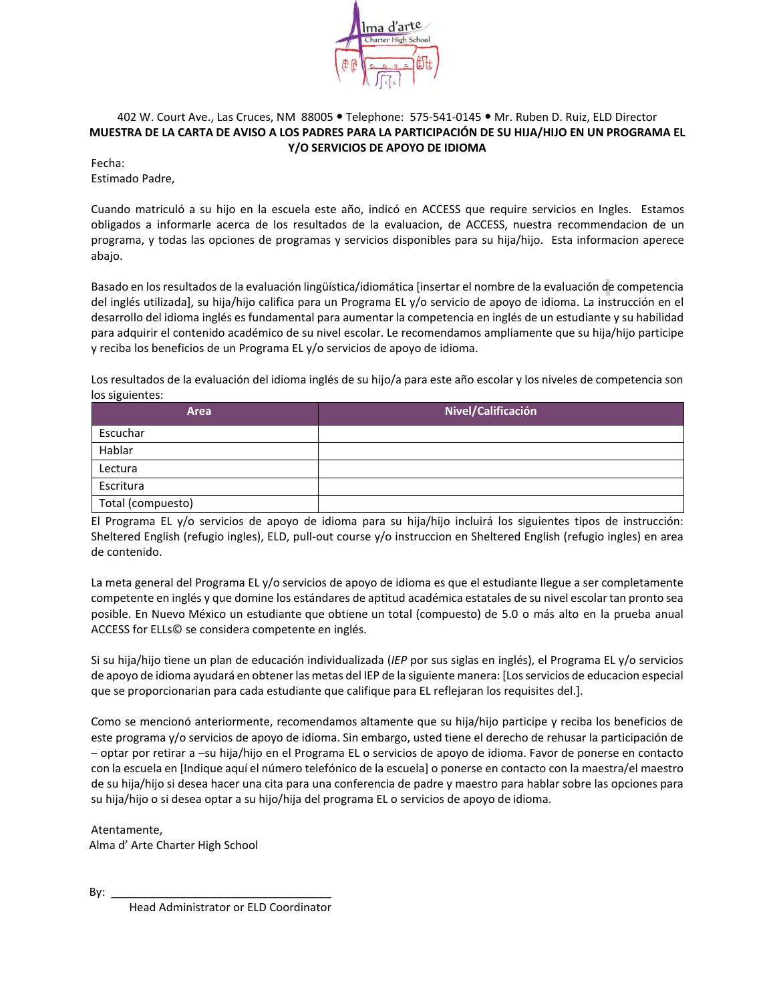

#### 402 W. Court Ave., Las Cruces, NM 88005 . Telephone: 575-541-0145 . Mr. Ruben D. Ruiz, ELD Director **MUESTRA DE LA CARTA DE AVISO A LOS PADRES PARA LA PARTICIPACIÓN DE SU HIJA/HIJO EN UN PROGRAMA EL Y/O SERVICIOS DE APOYO DE IDIOMA**

Fecha:

Estimado Padre,

Cuando matriculó a su hijo en la escuela este año, indicó en ACCESS que require servicios en Ingles. Estamos obligados a informarle acerca de los resultados de la evaluacion, de ACCESS, nuestra recommendacion de un programa, y todas las opciones de programas y servicios disponibles para su hija/hijo. Esta informacion aperece abajo.

Basado en los resultados de la evaluación lingüística/idiomática [insertar el nombre de la evaluación de competencia del inglés utilizada], su hija/hijo califica para un Programa EL y/o servicio de apoyo de idioma. La instrucción en el desarrollo del idioma inglés es fundamental para aumentar la competencia en inglés de un estudiante y su habilidad para adquirir el contenido académico de su nivel escolar. Le recomendamos ampliamente que su hija/hijo participe y reciba los beneficios de un Programa EL y/o servicios de apoyo de idioma.

Los resultados de la evaluación del idioma inglés de su hijo/a para este año escolar y los niveles de competencia son los siguientes:

| Area              | Nivel/Calificación |
|-------------------|--------------------|
| Escuchar          |                    |
| Hablar            |                    |
| Lectura           |                    |
| Escritura         |                    |
| Total (compuesto) |                    |

El Programa EL y/o servicios de apoyo de idioma para su hija/hijo incluirá los siguientes tipos de instrucción: Sheltered English (refugio ingles), ELD, pull-out course y/o instruccion en Sheltered English (refugio ingles) en area de contenido.

La meta general del Programa EL y/o servicios de apoyo de idioma es que el estudiante llegue a ser completamente competente en inglés y que domine los estándares de aptitud académica estatales de su nivel escolar tan pronto sea posible. En Nuevo México un estudiante que obtiene un total (compuesto) de 5.0 o más alto en la prueba anual ACCESS for ELLs© se considera competente en inglés.

Si su hija/hijo tiene un plan de educación individualizada (*IEP* por sus siglas en inglés), el Programa EL y/o servicios de apoyo de idioma ayudará en obtener las metas del IEP de la siguiente manera: [Los servicios de educacion especial que se proporcionarian para cada estudiante que califique para EL reflejaran los requisites del.].

Como se mencionó anteriormente, recomendamos altamente que su hija/hijo participe y reciba los beneficios de este programa y/o servicios de apoyo de idioma. Sin embargo, usted tiene el derecho de rehusar la participación de – optar por retirar a –su hija/hijo en el Programa EL o servicios de apoyo de idioma. Favor de ponerse en contacto con la escuela en [Indique aquí el número telefónico de la escuela] o ponerse en contacto con la maestra/el maestro de su hija/hijo si desea hacer una cita para una conferencia de padre y maestro para hablar sobre las opciones para su hija/hijo o si desea optar a su hijo/hija del programa EL o servicios de apoyo de idioma.

Atentamente, Alma d' Arte Charter High School

By: \_\_\_\_\_\_\_\_\_\_\_\_\_\_\_\_\_\_\_\_\_\_\_\_\_\_\_\_\_\_\_\_\_\_\_

Head Administrator or ELD Coordinator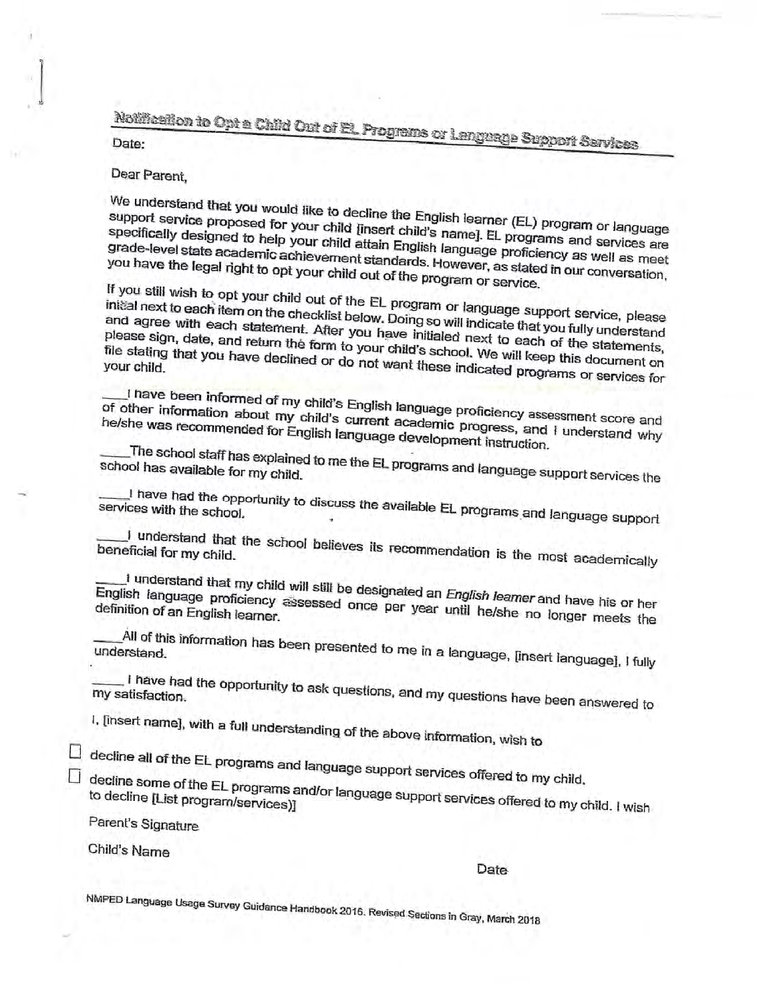Notification to Opt a Child Out of El. Programs or Language Support Services

#### Dear Parent,

We understand that you would like to decline the English learner (EL) program or language support service proposed for your child [insert child's name]. EL programs and services are specifically designed to help your child attain English language proficiency as well as meet grade-level state academic achievement standards. However, as stated in our conversation, you have the legal right to opt your child out of the program or service.

If you still wish to opt your child out of the EL program or language support service, please initial next to each item on the checklist below. Doing so will indicate that you fully understand and agree with each statement. After you have initialed next to each of the statements, please sign, date, and return the form to your child's school. We will keep this document on file stating that you have declined or do not want these indicated programs or services for

I have been informed of my child's English language proficiency assessment score and of other information about my child's current academic progress, and I understand why he/she was recommended for English language development instruction.

The school staff has explained to me the EL programs and language support services the  $\,$ school has available for my child.

I have had the opportunity to discuss the available EL programs and language support services with the school.

I understand that the school believes its recommendation is the most academically beneficial for my child.

I understand that my child will still be designated an *English leamer* and have his or her English language proficiency assessed once per year until he/she no longer meets the

All of this information has been presented to me in a language, [insert language], I fully understand.

. I have had the opportunity to ask questions, and my questions have been answered to my satisfaction.

I, [insert name], with a full understanding of the above information, wish to

 $\Box$  decline all of the EL programs and language support services offered to my child.

 $\Box$  decline some of the EL programs and/or language support services offered to my child. I wish

Parent's Signature

Child's Name

Date

NMPED Language Usage Survey Guidance Handbook 2016. Revised Sections in Gray, March 2018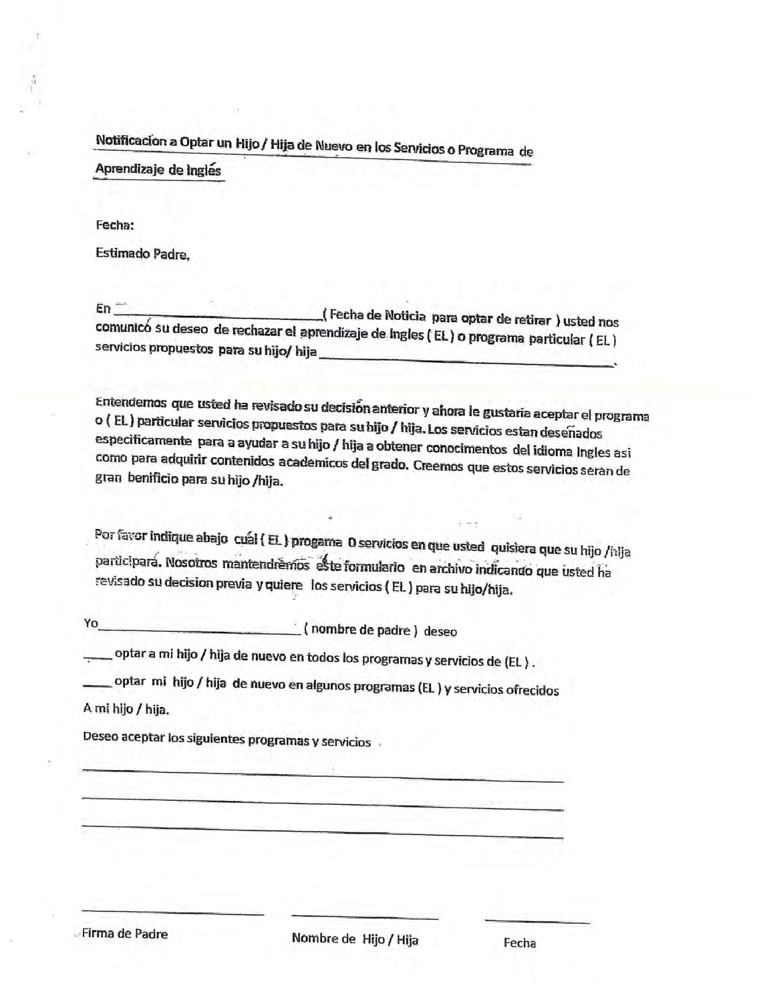Notificacion a Optar un Hijo / Hija de Nuevo en los Servicios o Programa de

Aprendizaje de Inglés

Fecha:

Estimado Padre.

 $En^-$ Fecha de Noticia para optar de retirar ) usted nos comunicó su deseo de rechazar el aprendizaje de Ingles (EL) o programa particular (EL) servicios propuestos para su hijo/ hija\_

Entendemos que usted ha revisado su decisión anterior y ahora le gustaria aceptar el programa o (EL) particular servicios propuestos para su hijo / hija. Los servicios estan deseñados especificamente para a ayudar a su hijo / hija a obtener conocimentos del idioma Ingles asi como para adquirir contenidos academicos del grado. Creemos que estos servicios seran de gran benificio para su hijo /hija.

Por favor indique abajo cual (EL) progama O servicios en que usted quisiera que su hijo /i:ija participará. Nosotros mantendrèmos este formulario en archivo indicando que usted ha revisado su decision previa y quiere los servicios (EL) para su hijo/hija.

(nombre de padre) deseo Yo

\_ optar a mi hijo / hija de nuevo en todos los programas y servicios de (EL ) .

optar mi hijo / hija de nuevo en algunos programas (EL) y servicios ofrecidos

A mi hijo / hija.

Deseo aceptar los siguientes programas y servicios

Firma de Padre

Fecha